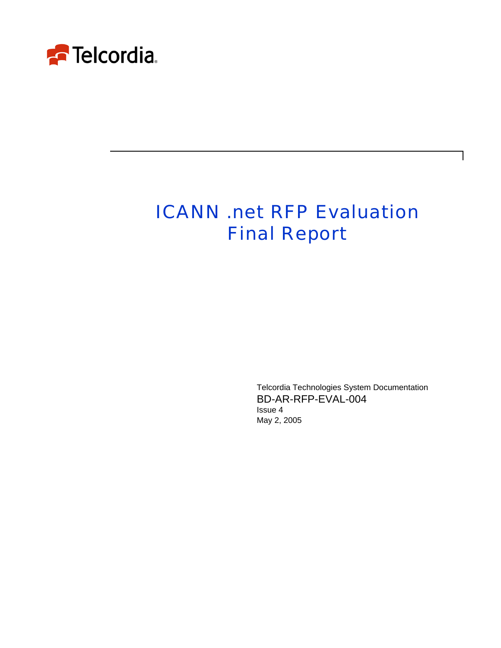

# ICANN .net RFP Evaluation Final Report

Telcordia Technologies System Documentation BD-AR-RFP-EVAL-004 Issue 4 May 2, 2005

 $\mathbf l$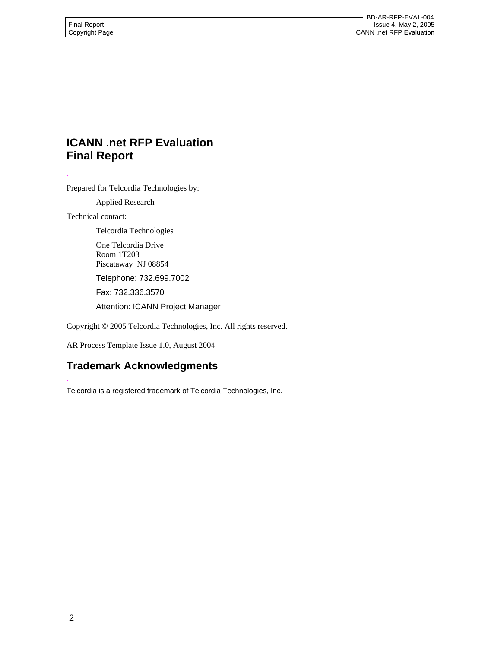# **ICANN .net RFP Evaluation Final Report**

Prepared for Telcordia Technologies by:

Applied Research

Technical contact:

*.* 

*.* 

Telcordia Technologies

One Telcordia Drive Room 1T203 Piscataway NJ 08854

Telephone: 732.699.7002

Fax: 732.336.3570

Attention: ICANN Project Manager

Copyright © 2005 Telcordia Technologies, Inc. All rights reserved.

AR Process Template Issue 1.0, August 2004

# **Trademark Acknowledgments**

Telcordia is a registered trademark of Telcordia Technologies, Inc.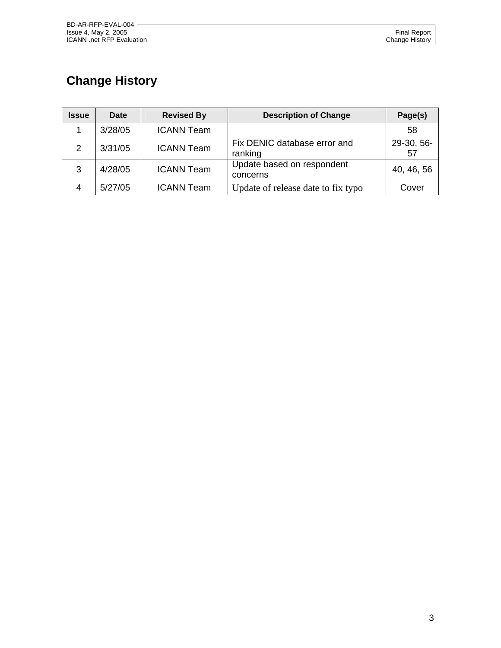# **Change History**

| <b>Issue</b>  | Date    | <b>Revised By</b> | <b>Description of Change</b>            | Page(s)          |
|---------------|---------|-------------------|-----------------------------------------|------------------|
|               | 3/28/05 | <b>ICANN Team</b> |                                         | 58               |
| $\mathcal{P}$ | 3/31/05 | <b>ICANN Team</b> | Fix DENIC database error and<br>ranking | 29-30, 56-<br>57 |
| 3             | 4/28/05 | <b>ICANN Team</b> | Update based on respondent<br>concerns  | 40, 46, 56       |
| 4             | 5/27/05 | <b>ICANN Team</b> | Update of release date to fix typo      | Cover            |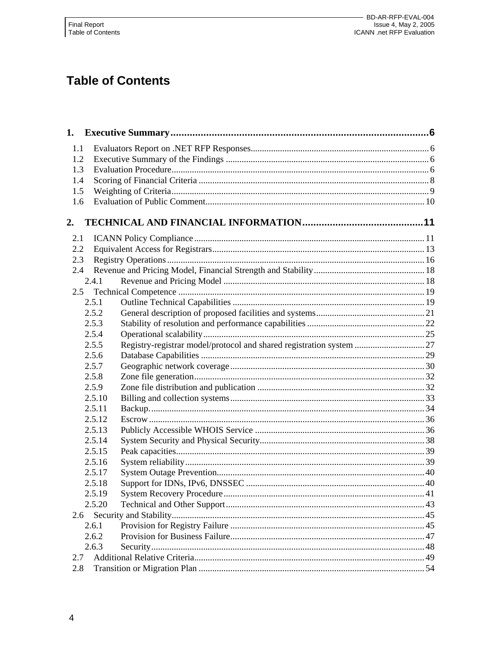# **Table of Contents**

| 1.1 |        |                                                                      |  |
|-----|--------|----------------------------------------------------------------------|--|
| 1.2 |        |                                                                      |  |
| 1.3 |        |                                                                      |  |
| 1.4 |        |                                                                      |  |
| 1.5 |        |                                                                      |  |
| 1.6 |        |                                                                      |  |
| 2.  |        |                                                                      |  |
| 2.1 |        |                                                                      |  |
| 2.2 |        |                                                                      |  |
| 2.3 |        |                                                                      |  |
| 2.4 |        |                                                                      |  |
|     | 2.4.1  |                                                                      |  |
| 2.5 |        |                                                                      |  |
|     | 2.5.1  |                                                                      |  |
|     | 2.5.2  |                                                                      |  |
|     | 2.5.3  |                                                                      |  |
|     | 2.5.4  |                                                                      |  |
|     | 2.5.5  | Registry-registrar model/protocol and shared registration system  27 |  |
|     | 2.5.6  |                                                                      |  |
|     | 2.5.7  |                                                                      |  |
|     | 2.5.8  |                                                                      |  |
|     | 2.5.9  |                                                                      |  |
|     | 2.5.10 |                                                                      |  |
|     | 2.5.11 |                                                                      |  |
|     | 2.5.12 |                                                                      |  |
|     | 2.5.13 |                                                                      |  |
|     | 2.5.14 |                                                                      |  |
|     | 2.5.15 |                                                                      |  |
|     | 2.5.16 |                                                                      |  |
|     | 2.5.17 |                                                                      |  |
|     | 2.5.18 |                                                                      |  |
|     | 2.5.19 |                                                                      |  |
|     | 2.5.20 |                                                                      |  |
| 2.6 |        |                                                                      |  |
|     | 2.6.1  |                                                                      |  |
|     | 2.6.2  |                                                                      |  |
|     | 2.6.3  |                                                                      |  |
| 2.7 |        |                                                                      |  |
| 2.8 |        |                                                                      |  |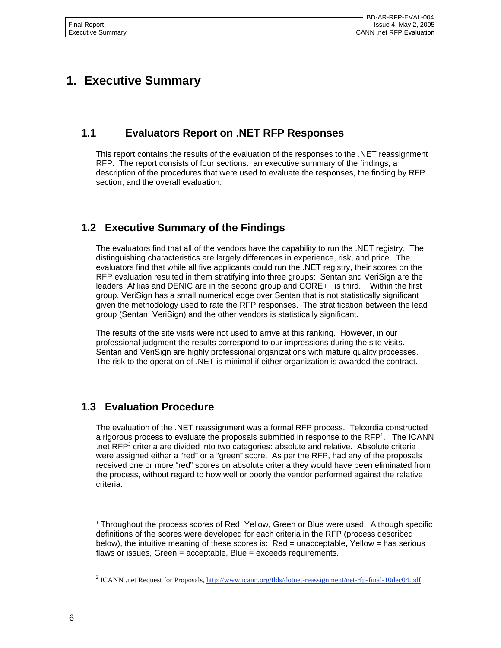# **1. Executive Summary**

# **1.1 Evaluators Report on .NET RFP Responses**

This report contains the results of the evaluation of the responses to the .NET reassignment RFP. The report consists of four sections: an executive summary of the findings, a description of the procedures that were used to evaluate the responses, the finding by RFP section, and the overall evaluation.

# **1.2 Executive Summary of the Findings**

The evaluators find that all of the vendors have the capability to run the .NET registry. The distinguishing characteristics are largely differences in experience, risk, and price. The evaluators find that while all five applicants could run the .NET registry, their scores on the RFP evaluation resulted in them stratifying into three groups: Sentan and VeriSign are the leaders, Afilias and DENIC are in the second group and CORE++ is third. Within the first group, VeriSign has a small numerical edge over Sentan that is not statistically significant given the methodology used to rate the RFP responses. The stratification between the lead group (Sentan, VeriSign) and the other vendors is statistically significant.

The results of the site visits were not used to arrive at this ranking. However, in our professional judgment the results correspond to our impressions during the site visits. Sentan and VeriSign are highly professional organizations with mature quality processes. The risk to the operation of .NET is minimal if either organization is awarded the contract.

# **1.3 Evaluation Procedure**

The evaluation of the .NET reassignment was a formal RFP process. Telcordia constructed a rigorous process to evaluate the proposals submitted in response to the  $RFP<sup>1</sup>$ . The ICANN net RFP<sup>2</sup> criteria are divided into two categories: absolute and relative. Absolute criteria were assigned either a "red" or a "green" score. As per the RFP, had any of the proposals received one or more "red" scores on absolute criteria they would have been eliminated from the process, without regard to how well or poorly the vendor performed against the relative criteria.

1

<sup>&</sup>lt;sup>1</sup> Throughout the process scores of Red, Yellow, Green or Blue were used. Although specific definitions of the scores were developed for each criteria in the RFP (process described below), the intuitive meaning of these scores is: Red = unacceptable, Yellow = has serious flaws or issues, Green = acceptable, Blue = exceeds requirements.

<sup>&</sup>lt;sup>2</sup> ICANN .net Request for Proposals, http://www.icann.org/tlds/dotnet-reassignment/net-rfp-final-10dec04.pdf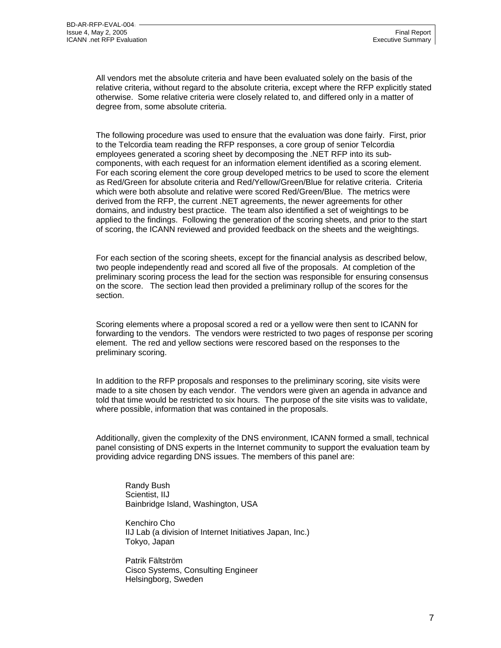All vendors met the absolute criteria and have been evaluated solely on the basis of the relative criteria, without regard to the absolute criteria, except where the RFP explicitly stated otherwise. Some relative criteria were closely related to, and differed only in a matter of degree from, some absolute criteria.

The following procedure was used to ensure that the evaluation was done fairly. First, prior to the Telcordia team reading the RFP responses, a core group of senior Telcordia employees generated a scoring sheet by decomposing the .NET RFP into its subcomponents, with each request for an information element identified as a scoring element. For each scoring element the core group developed metrics to be used to score the element as Red/Green for absolute criteria and Red/Yellow/Green/Blue for relative criteria. Criteria which were both absolute and relative were scored Red/Green/Blue. The metrics were derived from the RFP, the current .NET agreements, the newer agreements for other domains, and industry best practice. The team also identified a set of weightings to be applied to the findings. Following the generation of the scoring sheets, and prior to the start of scoring, the ICANN reviewed and provided feedback on the sheets and the weightings.

For each section of the scoring sheets, except for the financial analysis as described below, two people independently read and scored all five of the proposals. At completion of the preliminary scoring process the lead for the section was responsible for ensuring consensus on the score. The section lead then provided a preliminary rollup of the scores for the section.

Scoring elements where a proposal scored a red or a yellow were then sent to ICANN for forwarding to the vendors. The vendors were restricted to two pages of response per scoring element. The red and yellow sections were rescored based on the responses to the preliminary scoring.

In addition to the RFP proposals and responses to the preliminary scoring, site visits were made to a site chosen by each vendor. The vendors were given an agenda in advance and told that time would be restricted to six hours. The purpose of the site visits was to validate, where possible, information that was contained in the proposals.

Additionally, given the complexity of the DNS environment, ICANN formed a small, technical panel consisting of DNS experts in the Internet community to support the evaluation team by providing advice regarding DNS issues. The members of this panel are:

Randy Bush Scientist, IIJ Bainbridge Island, Washington, USA

Kenchiro Cho IIJ Lab (a division of Internet Initiatives Japan, Inc.) Tokyo, Japan

Patrik Fältström Cisco Systems, Consulting Engineer Helsingborg, Sweden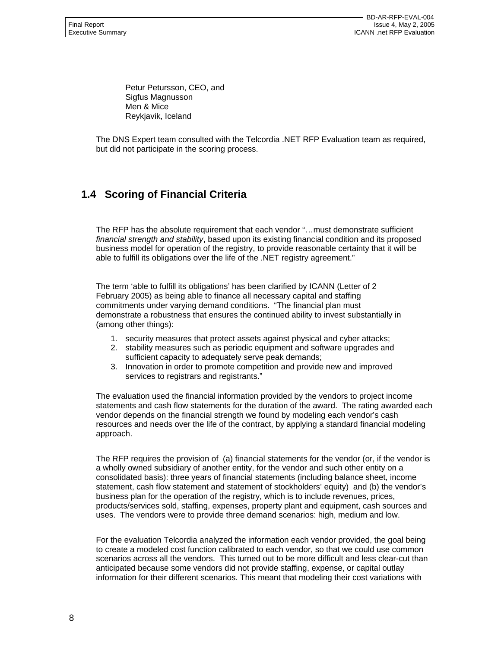Petur Petursson, CEO, and Sigfus Magnusson Men & Mice Reykjavik, Iceland

The DNS Expert team consulted with the Telcordia .NET RFP Evaluation team as required, but did not participate in the scoring process.

# **1.4 Scoring of Financial Criteria**

The RFP has the absolute requirement that each vendor "…must demonstrate sufficient *financial strength and stability*, based upon its existing financial condition and its proposed business model for operation of the registry, to provide reasonable certainty that it will be able to fulfill its obligations over the life of the .NET registry agreement."

The term 'able to fulfill its obligations' has been clarified by ICANN (Letter of 2 February 2005) as being able to finance all necessary capital and staffing commitments under varying demand conditions. "The financial plan must demonstrate a robustness that ensures the continued ability to invest substantially in (among other things):

- 1. security measures that protect assets against physical and cyber attacks;
- 2. stability measures such as periodic equipment and software upgrades and sufficient capacity to adequately serve peak demands;
- 3. Innovation in order to promote competition and provide new and improved services to registrars and registrants."

The evaluation used the financial information provided by the vendors to project income statements and cash flow statements for the duration of the award. The rating awarded each vendor depends on the financial strength we found by modeling each vendor's cash resources and needs over the life of the contract, by applying a standard financial modeling approach.

The RFP requires the provision of (a) financial statements for the vendor (or, if the vendor is a wholly owned subsidiary of another entity, for the vendor and such other entity on a consolidated basis): three years of financial statements (including balance sheet, income statement, cash flow statement and statement of stockholders' equity) and (b) the vendor's business plan for the operation of the registry, which is to include revenues, prices, products/services sold, staffing, expenses, property plant and equipment, cash sources and uses. The vendors were to provide three demand scenarios: high, medium and low.

For the evaluation Telcordia analyzed the information each vendor provided, the goal being to create a modeled cost function calibrated to each vendor, so that we could use common scenarios across all the vendors. This turned out to be more difficult and less clear-cut than anticipated because some vendors did not provide staffing, expense, or capital outlay information for their different scenarios. This meant that modeling their cost variations with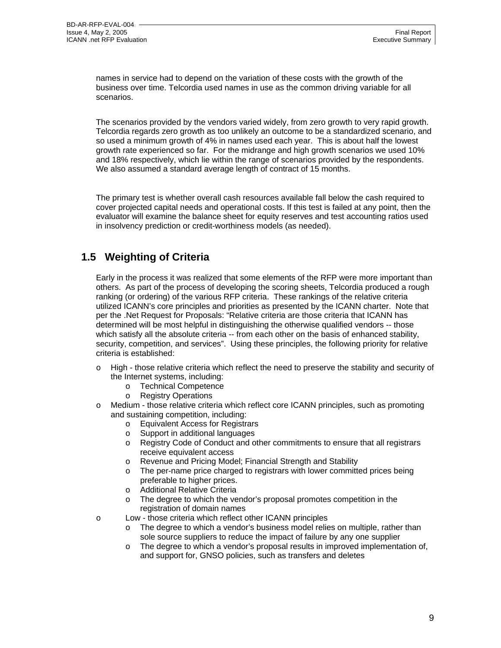names in service had to depend on the variation of these costs with the growth of the business over time. Telcordia used names in use as the common driving variable for all scenarios.

The scenarios provided by the vendors varied widely, from zero growth to very rapid growth. Telcordia regards zero growth as too unlikely an outcome to be a standardized scenario, and so used a minimum growth of 4% in names used each year. This is about half the lowest growth rate experienced so far. For the midrange and high growth scenarios we used 10% and 18% respectively, which lie within the range of scenarios provided by the respondents. We also assumed a standard average length of contract of 15 months.

The primary test is whether overall cash resources available fall below the cash required to cover projected capital needs and operational costs. If this test is failed at any point, then the evaluator will examine the balance sheet for equity reserves and test accounting ratios used in insolvency prediction or credit-worthiness models (as needed).

# **1.5 Weighting of Criteria**

Early in the process it was realized that some elements of the RFP were more important than others. As part of the process of developing the scoring sheets, Telcordia produced a rough ranking (or ordering) of the various RFP criteria. These rankings of the relative criteria utilized ICANN's core principles and priorities as presented by the ICANN charter. Note that per the .Net Request for Proposals: "Relative criteria are those criteria that ICANN has determined will be most helpful in distinguishing the otherwise qualified vendors -- those which satisfy all the absolute criteria -- from each other on the basis of enhanced stability, security, competition, and services". Using these principles, the following priority for relative criteria is established:

- o High those relative criteria which reflect the need to preserve the stability and security of the Internet systems, including:
	- o Technical Competence
	- o Registry Operations
- Medium those relative criteria which reflect core ICANN principles, such as promoting and sustaining competition, including:
	- o Equivalent Access for Registrars
	- o Support in additional languages
	- o Registry Code of Conduct and other commitments to ensure that all registrars receive equivalent access
	- o Revenue and Pricing Model; Financial Strength and Stability
	- o The per-name price charged to registrars with lower committed prices being preferable to higher prices.
	- o Additional Relative Criteria
	- o The degree to which the vendor's proposal promotes competition in the registration of domain names
- o Low those criteria which reflect other ICANN principles
	- o The degree to which a vendor's business model relies on multiple, rather than sole source suppliers to reduce the impact of failure by any one supplier
	- $\circ$  The degree to which a vendor's proposal results in improved implementation of, and support for, GNSO policies, such as transfers and deletes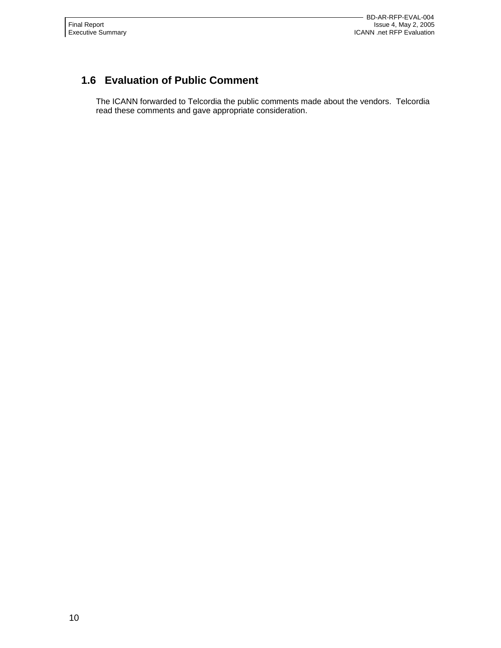# **1.6 Evaluation of Public Comment**

The ICANN forwarded to Telcordia the public comments made about the vendors. Telcordia read these comments and gave appropriate consideration.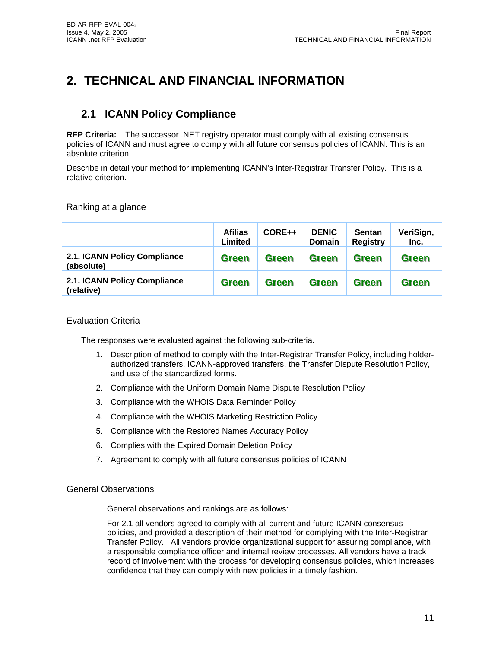# **2. TECHNICAL AND FINANCIAL INFORMATION**

# **2.1 ICANN Policy Compliance**

**RFP Criteria:** The successor .NET registry operator must comply with all existing consensus policies of ICANN and must agree to comply with all future consensus policies of ICANN. This is an absolute criterion.

Describe in detail your method for implementing ICANN's Inter-Registrar Transfer Policy. This is a relative criterion.

Ranking at a glance

|                                            | <b>Afilias</b><br>Limited | CORE++       | <b>DENIC</b><br><b>Domain</b> | <b>Sentan</b><br><b>Registry</b> | VeriSign,<br>Inc. |
|--------------------------------------------|---------------------------|--------------|-------------------------------|----------------------------------|-------------------|
| 2.1. ICANN Policy Compliance<br>(absolute) | <b>Green</b>              | <b>Green</b> | <b>Green</b>                  | <b>Green</b>                     | <b>Green</b>      |
| 2.1. ICANN Policy Compliance<br>(relative) | <b>Green</b>              | <b>Green</b> | <b>Green</b>                  | <b>Green</b>                     | <b>Green</b>      |

#### Evaluation Criteria

The responses were evaluated against the following sub-criteria.

- 1. Description of method to comply with the Inter-Registrar Transfer Policy, including holderauthorized transfers, ICANN-approved transfers, the Transfer Dispute Resolution Policy, and use of the standardized forms.
- 2. Compliance with the Uniform Domain Name Dispute Resolution Policy
- 3. Compliance with the WHOIS Data Reminder Policy
- 4. Compliance with the WHOIS Marketing Restriction Policy
- 5. Compliance with the Restored Names Accuracy Policy
- 6. Complies with the Expired Domain Deletion Policy
- 7. Agreement to comply with all future consensus policies of ICANN

#### General Observations

General observations and rankings are as follows:

For 2.1 all vendors agreed to comply with all current and future ICANN consensus policies, and provided a description of their method for complying with the Inter-Registrar Transfer Policy. All vendors provide organizational support for assuring compliance, with a responsible compliance officer and internal review processes. All vendors have a track record of involvement with the process for developing consensus policies, which increases confidence that they can comply with new policies in a timely fashion.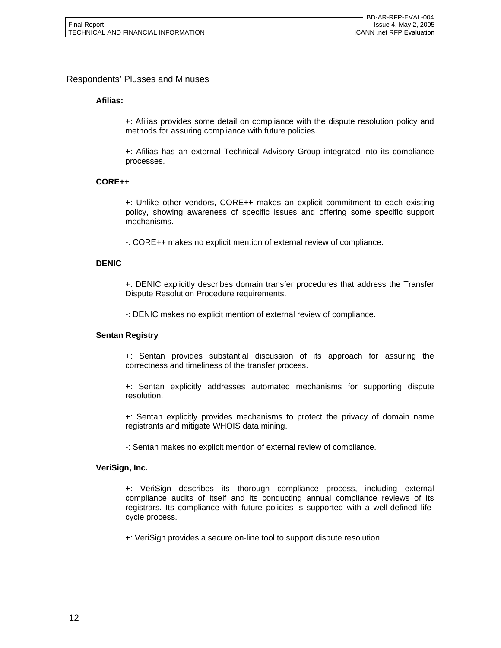#### Respondents' Plusses and Minuses

#### **Afilias:**

+: Afilias provides some detail on compliance with the dispute resolution policy and methods for assuring compliance with future policies.

+: Afilias has an external Technical Advisory Group integrated into its compliance processes.

#### **CORE++**

+: Unlike other vendors, CORE++ makes an explicit commitment to each existing policy, showing awareness of specific issues and offering some specific support mechanisms.

-: CORE++ makes no explicit mention of external review of compliance.

#### **DENIC**

+: DENIC explicitly describes domain transfer procedures that address the Transfer Dispute Resolution Procedure requirements.

-: DENIC makes no explicit mention of external review of compliance.

#### **Sentan Registry**

+: Sentan provides substantial discussion of its approach for assuring the correctness and timeliness of the transfer process.

+: Sentan explicitly addresses automated mechanisms for supporting dispute resolution.

+: Sentan explicitly provides mechanisms to protect the privacy of domain name registrants and mitigate WHOIS data mining.

-: Sentan makes no explicit mention of external review of compliance.

#### **VeriSign, Inc.**

+: VeriSign describes its thorough compliance process, including external compliance audits of itself and its conducting annual compliance reviews of its registrars. Its compliance with future policies is supported with a well-defined lifecycle process.

+: VeriSign provides a secure on-line tool to support dispute resolution.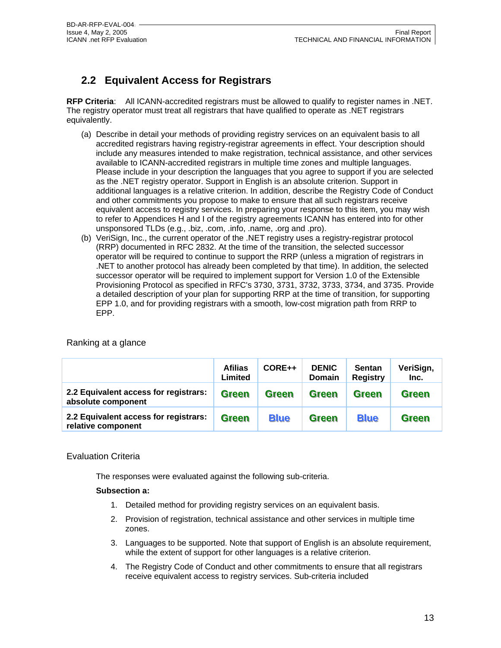# **2.2 Equivalent Access for Registrars**

**RFP Criteria**: All ICANN-accredited registrars must be allowed to qualify to register names in .NET. The registry operator must treat all registrars that have qualified to operate as .NET registrars equivalently.

- (a) Describe in detail your methods of providing registry services on an equivalent basis to all accredited registrars having registry-registrar agreements in effect. Your description should include any measures intended to make registration, technical assistance, and other services available to ICANN-accredited registrars in multiple time zones and multiple languages. Please include in your description the languages that you agree to support if you are selected as the .NET registry operator. Support in English is an absolute criterion. Support in additional languages is a relative criterion. In addition, describe the Registry Code of Conduct and other commitments you propose to make to ensure that all such registrars receive equivalent access to registry services. In preparing your response to this item, you may wish to refer to Appendices H and I of the registry agreements ICANN has entered into for other unsponsored TLDs (e.g., .biz, .com, .info, .name, .org and .pro).
- (b) VeriSign, Inc., the current operator of the .NET registry uses a registry-registrar protocol (RRP) documented in RFC 2832. At the time of the transition, the selected successor operator will be required to continue to support the RRP (unless a migration of registrars in .NET to another protocol has already been completed by that time). In addition, the selected successor operator will be required to implement support for Version 1.0 of the Extensible Provisioning Protocol as specified in RFC's 3730, 3731, 3732, 3733, 3734, and 3735. Provide a detailed description of your plan for supporting RRP at the time of transition, for supporting EPP 1.0, and for providing registrars with a smooth, low-cost migration path from RRP to EPP.

|                                                             | <b>Afilias</b><br>Limited | CORE++       | <b>DENIC</b><br><b>Domain</b> | <b>Sentan</b><br><b>Registry</b> | VeriSign,<br>Inc. |
|-------------------------------------------------------------|---------------------------|--------------|-------------------------------|----------------------------------|-------------------|
| 2.2 Equivalent access for registrars:<br>absolute component | <b>Green</b>              | <b>Green</b> | <b>Green</b>                  | <b>Green</b>                     | <b>Green</b>      |
| 2.2 Equivalent access for registrars:<br>relative component | <b>Green</b>              | <b>Blue</b>  | <b>Green</b>                  | <b>Blue</b>                      | <b>Green</b>      |

#### Evaluation Criteria

The responses were evaluated against the following sub-criteria.

#### **Subsection a:**

- 1. Detailed method for providing registry services on an equivalent basis.
- 2. Provision of registration, technical assistance and other services in multiple time zones.
- 3. Languages to be supported. Note that support of English is an absolute requirement, while the extent of support for other languages is a relative criterion.
- 4. The Registry Code of Conduct and other commitments to ensure that all registrars receive equivalent access to registry services. Sub-criteria included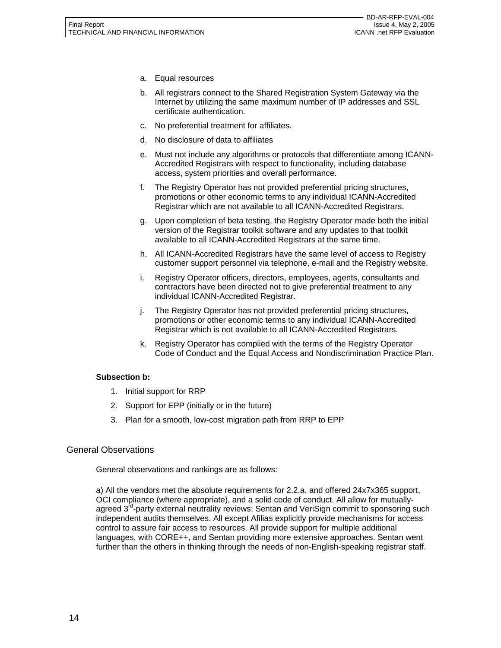- a. Equal resources
- b. All registrars connect to the Shared Registration System Gateway via the Internet by utilizing the same maximum number of IP addresses and SSL certificate authentication.
- c. No preferential treatment for affiliates.
- d. No disclosure of data to affiliates
- e. Must not include any algorithms or protocols that differentiate among ICANN-Accredited Registrars with respect to functionality, including database access, system priorities and overall performance.
- f. The Registry Operator has not provided preferential pricing structures, promotions or other economic terms to any individual ICANN-Accredited Registrar which are not available to all ICANN-Accredited Registrars.
- g. Upon completion of beta testing, the Registry Operator made both the initial version of the Registrar toolkit software and any updates to that toolkit available to all ICANN-Accredited Registrars at the same time.
- h. All ICANN-Accredited Registrars have the same level of access to Registry customer support personnel via telephone, e-mail and the Registry website.
- i. Registry Operator officers, directors, employees, agents, consultants and contractors have been directed not to give preferential treatment to any individual ICANN-Accredited Registrar.
- j. The Registry Operator has not provided preferential pricing structures, promotions or other economic terms to any individual ICANN-Accredited Registrar which is not available to all ICANN-Accredited Registrars.
- k. Registry Operator has complied with the terms of the Registry Operator Code of Conduct and the Equal Access and Nondiscrimination Practice Plan.

#### **Subsection b:**

- 1. Initial support for RRP
- 2. Support for EPP (initially or in the future)
- 3. Plan for a smooth, low-cost migration path from RRP to EPP

#### General Observations

General observations and rankings are as follows:

a) All the vendors met the absolute requirements for 2.2.a, and offered 24x7x365 support, OCI compliance (where appropriate), and a solid code of conduct. All allow for mutuallyagreed 3<sup>rd</sup>-party external neutrality reviews; Sentan and VeriSign commit to sponsoring such independent audits themselves. All except Afilias explicitly provide mechanisms for access control to assure fair access to resources. All provide support for multiple additional languages, with CORE++, and Sentan providing more extensive approaches. Sentan went further than the others in thinking through the needs of non-English-speaking registrar staff.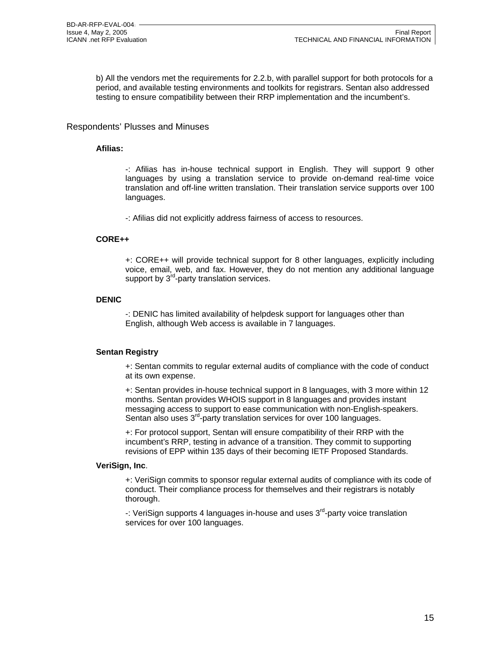b) All the vendors met the requirements for 2.2.b, with parallel support for both protocols for a period, and available testing environments and toolkits for registrars. Sentan also addressed testing to ensure compatibility between their RRP implementation and the incumbent's.

#### Respondents' Plusses and Minuses

#### **Afilias:**

-: Afilias has in-house technical support in English. They will support 9 other languages by using a translation service to provide on-demand real-time voice translation and off-line written translation. Their translation service supports over 100 languages.

-: Afilias did not explicitly address fairness of access to resources.

#### **CORE++**

+: CORE++ will provide technical support for 8 other languages, explicitly including voice, email, web, and fax. However, they do not mention any additional language support by  $3^{rd}$ -party translation services.

#### **DENIC**

-: DENIC has limited availability of helpdesk support for languages other than English, although Web access is available in 7 languages.

#### **Sentan Registry**

+: Sentan commits to regular external audits of compliance with the code of conduct at its own expense.

+: Sentan provides in-house technical support in 8 languages, with 3 more within 12 months. Sentan provides WHOIS support in 8 languages and provides instant messaging access to support to ease communication with non-English-speakers. Sentan also uses 3<sup>rd</sup>-party translation services for over 100 languages.

+: For protocol support, Sentan will ensure compatibility of their RRP with the incumbent's RRP, testing in advance of a transition. They commit to supporting revisions of EPP within 135 days of their becoming IETF Proposed Standards.

#### **VeriSign, Inc**.

+: VeriSign commits to sponsor regular external audits of compliance with its code of conduct. Their compliance process for themselves and their registrars is notably thorough.

-: VeriSign supports 4 languages in-house and uses 3<sup>rd</sup>-party voice translation services for over 100 languages.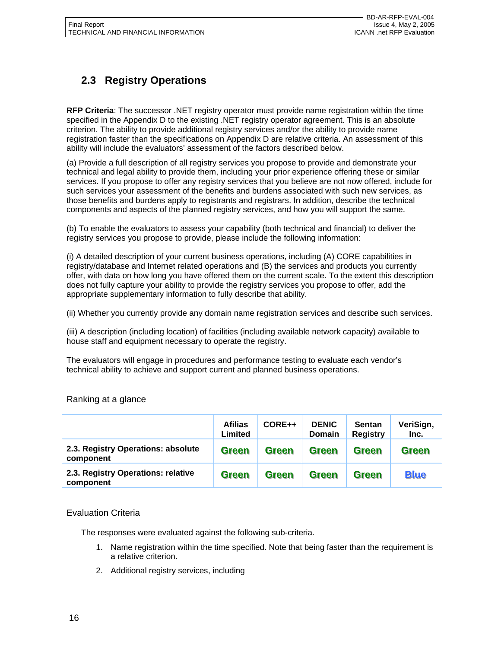# **2.3 Registry Operations**

**RFP Criteria**: The successor .NET registry operator must provide name registration within the time specified in the Appendix D to the existing .NET registry operator agreement. This is an absolute criterion. The ability to provide additional registry services and/or the ability to provide name registration faster than the specifications on Appendix D are relative criteria. An assessment of this ability will include the evaluators' assessment of the factors described below.

(a) Provide a full description of all registry services you propose to provide and demonstrate your technical and legal ability to provide them, including your prior experience offering these or similar services. If you propose to offer any registry services that you believe are not now offered, include for such services your assessment of the benefits and burdens associated with such new services, as those benefits and burdens apply to registrants and registrars. In addition, describe the technical components and aspects of the planned registry services, and how you will support the same.

(b) To enable the evaluators to assess your capability (both technical and financial) to deliver the registry services you propose to provide, please include the following information:

(i) A detailed description of your current business operations, including (A) CORE capabilities in registry/database and Internet related operations and (B) the services and products you currently offer, with data on how long you have offered them on the current scale. To the extent this description does not fully capture your ability to provide the registry services you propose to offer, add the appropriate supplementary information to fully describe that ability.

(ii) Whether you currently provide any domain name registration services and describe such services.

(iii) A description (including location) of facilities (including available network capacity) available to house staff and equipment necessary to operate the registry.

The evaluators will engage in procedures and performance testing to evaluate each vendor's technical ability to achieve and support current and planned business operations.

|                                                 | <b>Afilias</b><br>Limited | CORE++       | <b>DENIC</b><br><b>Domain</b> | <b>Sentan</b><br><b>Registry</b> | VeriSign,<br>Inc. |
|-------------------------------------------------|---------------------------|--------------|-------------------------------|----------------------------------|-------------------|
| 2.3. Registry Operations: absolute<br>component | <b>Green</b>              | <b>Green</b> | <b>Green</b>                  | <b>Green</b>                     | <b>Green</b>      |
| 2.3. Registry Operations: relative<br>component | <b>Green</b>              | <b>Green</b> | <b>Green</b>                  | <b>Green</b>                     | <b>Blue</b>       |

### Ranking at a glance

#### Evaluation Criteria

The responses were evaluated against the following sub-criteria.

- 1. Name registration within the time specified. Note that being faster than the requirement is a relative criterion.
- 2. Additional registry services, including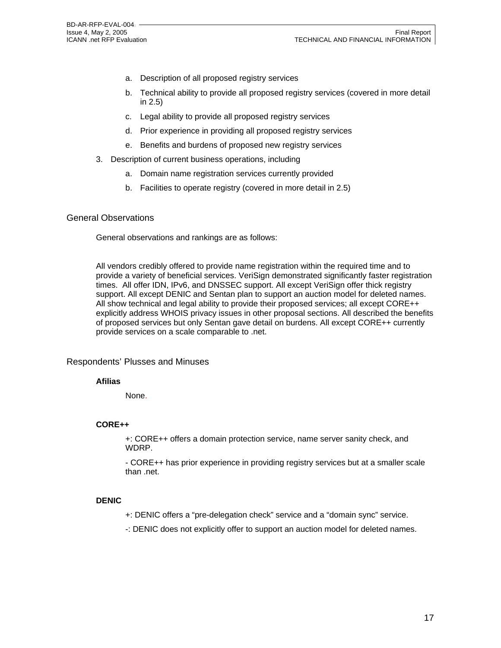- a. Description of all proposed registry services
- b. Technical ability to provide all proposed registry services (covered in more detail in 2.5)
- c. Legal ability to provide all proposed registry services
- d. Prior experience in providing all proposed registry services
- e. Benefits and burdens of proposed new registry services
- 3. Description of current business operations, including
	- a. Domain name registration services currently provided
	- b. Facilities to operate registry (covered in more detail in 2.5)

#### General Observations

General observations and rankings are as follows:

All vendors credibly offered to provide name registration within the required time and to provide a variety of beneficial services. VeriSign demonstrated significantly faster registration times. All offer IDN, IPv6, and DNSSEC support. All except VeriSign offer thick registry support. All except DENIC and Sentan plan to support an auction model for deleted names. All show technical and legal ability to provide their proposed services; all except CORE++ explicitly address WHOIS privacy issues in other proposal sections. All described the benefits of proposed services but only Sentan gave detail on burdens. All except CORE++ currently provide services on a scale comparable to .net.

#### Respondents' Plusses and Minuses

#### **Afilias**

None.

#### **CORE++**

+: CORE++ offers a domain protection service, name server sanity check, and WDRP.

- CORE++ has prior experience in providing registry services but at a smaller scale than .net.

#### **DENIC**

- +: DENIC offers a "pre-delegation check" service and a "domain sync" service.
- -: DENIC does not explicitly offer to support an auction model for deleted names.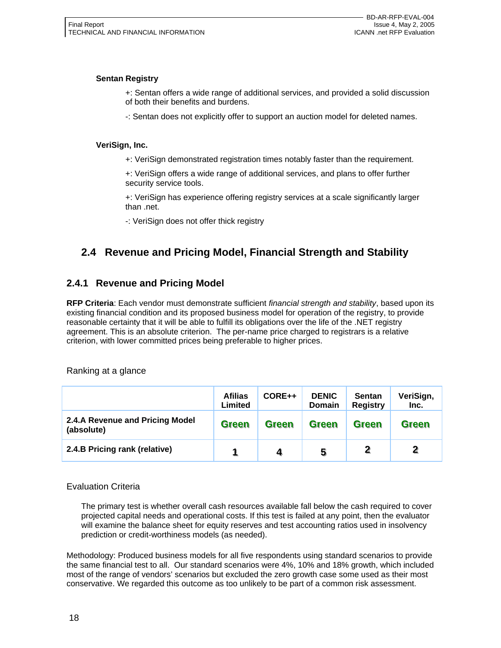#### **Sentan Registry**

- +: Sentan offers a wide range of additional services, and provided a solid discussion of both their benefits and burdens.
- -: Sentan does not explicitly offer to support an auction model for deleted names.

#### **VeriSign, Inc.**

+: VeriSign demonstrated registration times notably faster than the requirement.

+: VeriSign offers a wide range of additional services, and plans to offer further security service tools.

+: VeriSign has experience offering registry services at a scale significantly larger than .net.

-: VeriSign does not offer thick registry

# **2.4 Revenue and Pricing Model, Financial Strength and Stability**

### **2.4.1 Revenue and Pricing Model**

**RFP Criteria**: Each vendor must demonstrate sufficient *financial strength and stability*, based upon its existing financial condition and its proposed business model for operation of the registry, to provide reasonable certainty that it will be able to fulfill its obligations over the life of the .NET registry agreement. This is an absolute criterion. The per-name price charged to registrars is a relative criterion, with lower committed prices being preferable to higher prices.

Ranking at a glance

|                                               | <b>Afilias</b><br>Limited | CORE++       | <b>DENIC</b><br>Domain | <b>Sentan</b><br><b>Registry</b> | VeriSign,<br>Inc. |
|-----------------------------------------------|---------------------------|--------------|------------------------|----------------------------------|-------------------|
| 2.4.A Revenue and Pricing Model<br>(absolute) | <b>Green</b>              | <b>Green</b> | <b>Green</b>           | <b>Green</b>                     | <b>Green</b>      |
| 2.4.B Pricing rank (relative)                 |                           | 4            | 5                      | $\overline{\mathbf{2}}$          |                   |

#### Evaluation Criteria

The primary test is whether overall cash resources available fall below the cash required to cover projected capital needs and operational costs. If this test is failed at any point, then the evaluator will examine the balance sheet for equity reserves and test accounting ratios used in insolvency prediction or credit-worthiness models (as needed).

Methodology: Produced business models for all five respondents using standard scenarios to provide the same financial test to all. Our standard scenarios were 4%, 10% and 18% growth, which included most of the range of vendors' scenarios but excluded the zero growth case some used as their most conservative. We regarded this outcome as too unlikely to be part of a common risk assessment.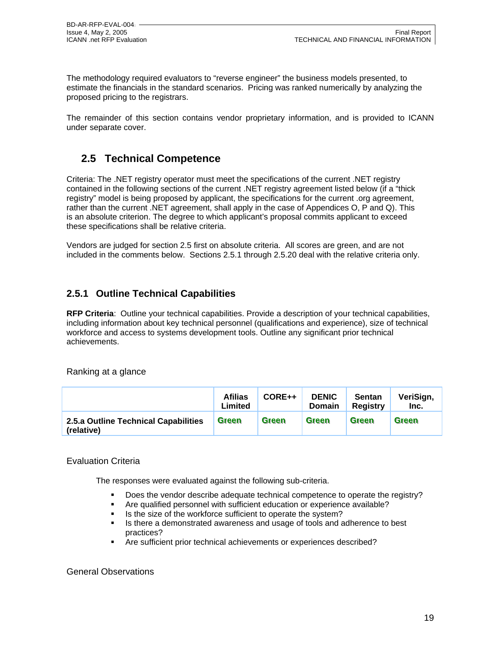The methodology required evaluators to "reverse engineer" the business models presented, to estimate the financials in the standard scenarios. Pricing was ranked numerically by analyzing the proposed pricing to the registrars.

The remainder of this section contains vendor proprietary information, and is provided to ICANN under separate cover.

# **2.5 Technical Competence**

Criteria: The .NET registry operator must meet the specifications of the current .NET registry contained in the following sections of the current .NET registry agreement listed below (if a "thick registry" model is being proposed by applicant, the specifications for the current .org agreement, rather than the current .NET agreement, shall apply in the case of Appendices O, P and Q). This is an absolute criterion. The degree to which applicant's proposal commits applicant to exceed these specifications shall be relative criteria.

Vendors are judged for section 2.5 first on absolute criteria. All scores are green, and are not included in the comments below. Sections 2.5.1 through 2.5.20 deal with the relative criteria only.

# **2.5.1 Outline Technical Capabilities**

**RFP Criteria**: Outline your technical capabilities. Provide a description of your technical capabilities, including information about key technical personnel (qualifications and experience), size of technical workforce and access to systems development tools. Outline any significant prior technical achievements.

Ranking at a glance

|                                                    | <b>Afilias</b><br>Limited | CORE++       | <b>DENIC</b><br><b>Domain</b> | <b>Sentan</b><br><b>Registry</b> | VeriSign,<br>Inc. |
|----------------------------------------------------|---------------------------|--------------|-------------------------------|----------------------------------|-------------------|
| 2.5.a Outline Technical Capabilities<br>(relative) | <b>Green</b>              | <b>Green</b> | <b>Green</b>                  | Green                            | <b>Green</b>      |

#### Evaluation Criteria

The responses were evaluated against the following sub-criteria.

- Does the vendor describe adequate technical competence to operate the registry?
- Are qualified personnel with sufficient education or experience available?
- Is the size of the workforce sufficient to operate the system?
- Is there a demonstrated awareness and usage of tools and adherence to best practices?
- Are sufficient prior technical achievements or experiences described?

#### General Observations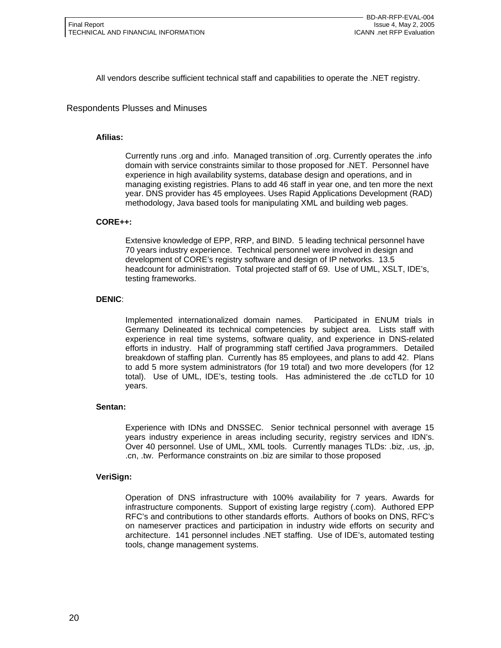All vendors describe sufficient technical staff and capabilities to operate the .NET registry.

Respondents Plusses and Minuses

#### **Afilias:**

Currently runs .org and .info. Managed transition of .org. Currently operates the .info domain with service constraints similar to those proposed for .NET. Personnel have experience in high availability systems, database design and operations, and in managing existing registries. Plans to add 46 staff in year one, and ten more the next year. DNS provider has 45 employees. Uses Rapid Applications Development (RAD) methodology, Java based tools for manipulating XML and building web pages.

#### **CORE++:**

Extensive knowledge of EPP, RRP, and BIND. 5 leading technical personnel have 70 years industry experience. Technical personnel were involved in design and development of CORE's registry software and design of IP networks. 13.5 headcount for administration. Total projected staff of 69. Use of UML, XSLT, IDE's, testing frameworks.

#### **DENIC**:

Implemented internationalized domain names. Participated in ENUM trials in Germany Delineated its technical competencies by subject area. Lists staff with experience in real time systems, software quality, and experience in DNS-related efforts in industry. Half of programming staff certified Java programmers. Detailed breakdown of staffing plan. Currently has 85 employees, and plans to add 42. Plans to add 5 more system administrators (for 19 total) and two more developers (for 12 total). Use of UML, IDE's, testing tools. Has administered the .de ccTLD for 10 years.

#### **Sentan:**

Experience with IDNs and DNSSEC. Senior technical personnel with average 15 years industry experience in areas including security, registry services and IDN's. Over 40 personnel. Use of UML, XML tools. Currently manages TLDs: .biz, .us, .jp, .cn, .tw. Performance constraints on .biz are similar to those proposed

#### **VeriSign:**

Operation of DNS infrastructure with 100% availability for 7 years. Awards for infrastructure components. Support of existing large registry (.com). Authored EPP RFC's and contributions to other standards efforts. Authors of books on DNS, RFC's on nameserver practices and participation in industry wide efforts on security and architecture. 141 personnel includes .NET staffing. Use of IDE's, automated testing tools, change management systems.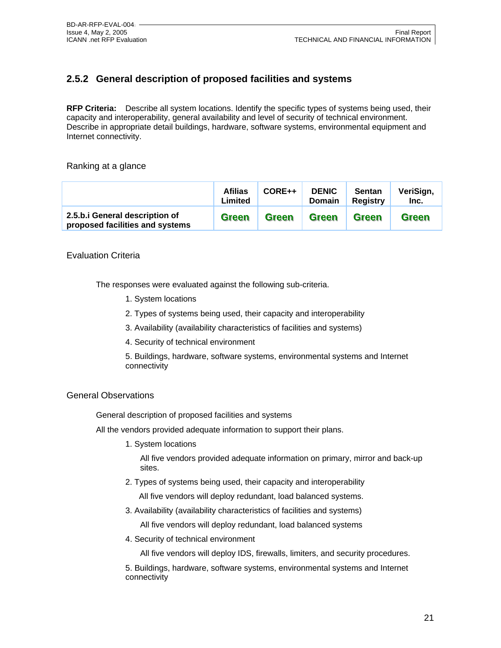# **2.5.2 General description of proposed facilities and systems**

**RFP Criteria:** Describe all system locations. Identify the specific types of systems being used, their capacity and interoperability, general availability and level of security of technical environment. Describe in appropriate detail buildings, hardware, software systems, environmental equipment and Internet connectivity.

#### Ranking at a glance

|                                                                   | <b>Afilias</b><br>Limited | $CORE++$     | <b>DENIC</b><br><b>Domain</b> | <b>Sentan</b><br>Registry | VeriSign,<br>Inc. |
|-------------------------------------------------------------------|---------------------------|--------------|-------------------------------|---------------------------|-------------------|
| 2.5.b.i General description of<br>proposed facilities and systems | <b>Green</b>              | <b>Green</b> | <b>Green</b>                  | <b>Green</b>              | <b>Green</b>      |

#### Evaluation Criteria

The responses were evaluated against the following sub-criteria.

- 1. System locations
- 2. Types of systems being used, their capacity and interoperability
- 3. Availability (availability characteristics of facilities and systems)
- 4. Security of technical environment
- 5. Buildings, hardware, software systems, environmental systems and Internet connectivity

#### General Observations

General description of proposed facilities and systems

All the vendors provided adequate information to support their plans.

1. System locations

All five vendors provided adequate information on primary, mirror and back-up sites.

2. Types of systems being used, their capacity and interoperability

All five vendors will deploy redundant, load balanced systems.

3. Availability (availability characteristics of facilities and systems)

All five vendors will deploy redundant, load balanced systems

4. Security of technical environment

All five vendors will deploy IDS, firewalls, limiters, and security procedures.

5. Buildings, hardware, software systems, environmental systems and Internet connectivity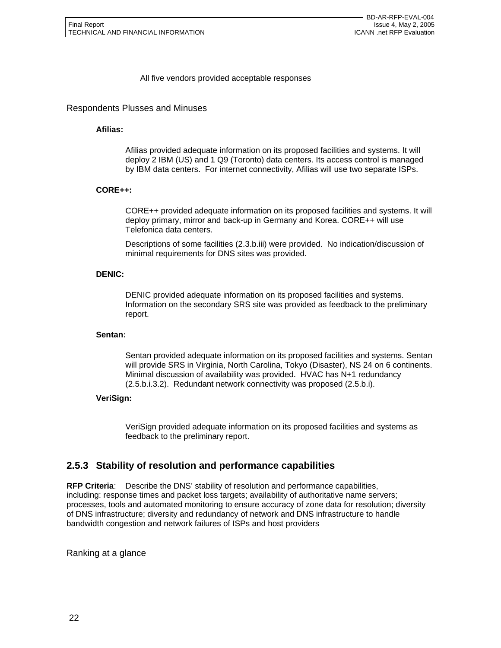#### All five vendors provided acceptable responses

#### Respondents Plusses and Minuses

#### **Afilias:**

Afilias provided adequate information on its proposed facilities and systems. It will deploy 2 IBM (US) and 1 Q9 (Toronto) data centers. Its access control is managed by IBM data centers. For internet connectivity, Afilias will use two separate ISPs.

#### **CORE++:**

CORE++ provided adequate information on its proposed facilities and systems. It will deploy primary, mirror and back-up in Germany and Korea. CORE++ will use Telefonica data centers.

Descriptions of some facilities (2.3.b.iii) were provided. No indication/discussion of minimal requirements for DNS sites was provided.

#### **DENIC:**

DENIC provided adequate information on its proposed facilities and systems. Information on the secondary SRS site was provided as feedback to the preliminary report.

#### **Sentan:**

Sentan provided adequate information on its proposed facilities and systems. Sentan will provide SRS in Virginia, North Carolina, Tokyo (Disaster), NS 24 on 6 continents. Minimal discussion of availability was provided. HVAC has N+1 redundancy (2.5.b.i.3.2). Redundant network connectivity was proposed (2.5.b.i).

#### **VeriSign:**

VeriSign provided adequate information on its proposed facilities and systems as feedback to the preliminary report.

### **2.5.3 Stability of resolution and performance capabilities**

**RFP Criteria**: Describe the DNS' stability of resolution and performance capabilities, including: response times and packet loss targets; availability of authoritative name servers; processes, tools and automated monitoring to ensure accuracy of zone data for resolution; diversity of DNS infrastructure; diversity and redundancy of network and DNS infrastructure to handle bandwidth congestion and network failures of ISPs and host providers

Ranking at a glance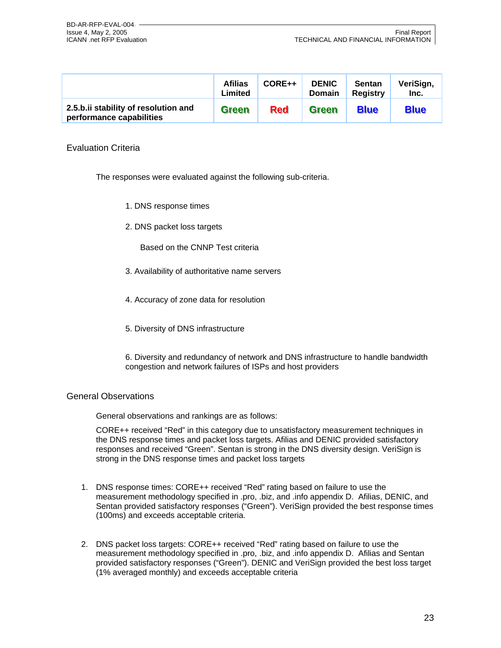|                                                                  | <b>Afilias</b><br>Limited | CORE++     | <b>DENIC</b><br><b>Domain</b> | <b>Sentan</b><br><b>Registry</b> | VeriSign,<br>Inc. |
|------------------------------------------------------------------|---------------------------|------------|-------------------------------|----------------------------------|-------------------|
| 2.5.b.ii stability of resolution and<br>performance capabilities | <b>Green</b>              | <b>Red</b> | <b>Green</b>                  | <b>Blue</b>                      | <b>Blue</b>       |

#### Evaluation Criteria

The responses were evaluated against the following sub-criteria.

- 1. DNS response times
- 2. DNS packet loss targets

Based on the CNNP Test criteria

- 3. Availability of authoritative name servers
- 4. Accuracy of zone data for resolution
- 5. Diversity of DNS infrastructure
- 6. Diversity and redundancy of network and DNS infrastructure to handle bandwidth congestion and network failures of ISPs and host providers

#### General Observations

General observations and rankings are as follows:

CORE++ received "Red" in this category due to unsatisfactory measurement techniques in the DNS response times and packet loss targets. Afilias and DENIC provided satisfactory responses and received "Green". Sentan is strong in the DNS diversity design. VeriSign is strong in the DNS response times and packet loss targets

- 1. DNS response times: CORE++ received "Red" rating based on failure to use the measurement methodology specified in .pro, .biz, and .info appendix D. Afilias, DENIC, and Sentan provided satisfactory responses ("Green"). VeriSign provided the best response times (100ms) and exceeds acceptable criteria.
- 2. DNS packet loss targets: CORE++ received "Red" rating based on failure to use the measurement methodology specified in .pro, .biz, and .info appendix D. Afilias and Sentan provided satisfactory responses ("Green"). DENIC and VeriSign provided the best loss target (1% averaged monthly) and exceeds acceptable criteria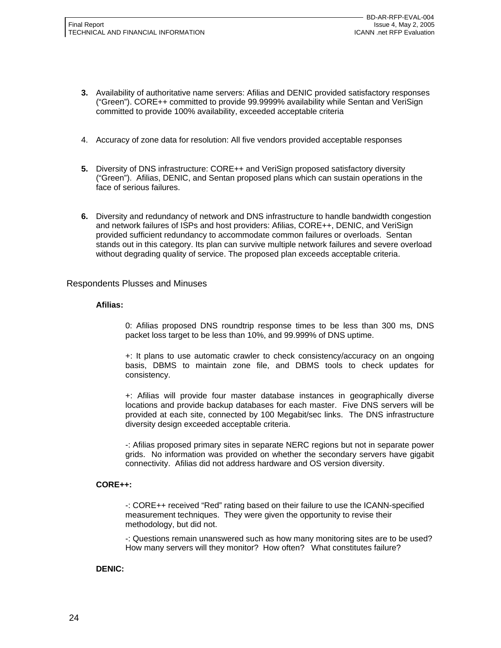- **3.** Availability of authoritative name servers: Afilias and DENIC provided satisfactory responses ("Green"). CORE++ committed to provide 99.9999% availability while Sentan and VeriSign committed to provide 100% availability, exceeded acceptable criteria
- 4. Accuracy of zone data for resolution: All five vendors provided acceptable responses
- **5.** Diversity of DNS infrastructure: CORE++ and VeriSign proposed satisfactory diversity ("Green"). Afilias, DENIC, and Sentan proposed plans which can sustain operations in the face of serious failures.
- **6.** Diversity and redundancy of network and DNS infrastructure to handle bandwidth congestion and network failures of ISPs and host providers: Afilias, CORE++, DENIC, and VeriSign provided sufficient redundancy to accommodate common failures or overloads. Sentan stands out in this category. Its plan can survive multiple network failures and severe overload without degrading quality of service. The proposed plan exceeds acceptable criteria.

#### Respondents Plusses and Minuses

#### **Afilias:**

0: Afilias proposed DNS roundtrip response times to be less than 300 ms, DNS packet loss target to be less than 10%, and 99.999% of DNS uptime.

+: It plans to use automatic crawler to check consistency/accuracy on an ongoing basis, DBMS to maintain zone file, and DBMS tools to check updates for consistency.

+: Afilias will provide four master database instances in geographically diverse locations and provide backup databases for each master. Five DNS servers will be provided at each site, connected by 100 Megabit/sec links. The DNS infrastructure diversity design exceeded acceptable criteria.

-: Afilias proposed primary sites in separate NERC regions but not in separate power grids. No information was provided on whether the secondary servers have gigabit connectivity. Afilias did not address hardware and OS version diversity.

#### **CORE++:**

-: CORE++ received "Red" rating based on their failure to use the ICANN-specified measurement techniques. They were given the opportunity to revise their methodology, but did not.

-: Questions remain unanswered such as how many monitoring sites are to be used? How many servers will they monitor? How often? What constitutes failure?

#### **DENIC:**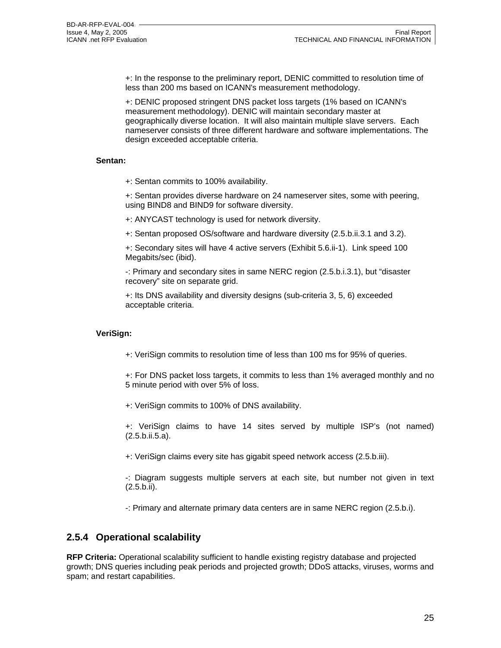+: In the response to the preliminary report, DENIC committed to resolution time of less than 200 ms based on ICANN's measurement methodology.

+: DENIC proposed stringent DNS packet loss targets (1% based on ICANN's measurement methodology). DENIC will maintain secondary master at geographically diverse location. It will also maintain multiple slave servers. Each nameserver consists of three different hardware and software implementations. The design exceeded acceptable criteria.

#### **Sentan:**

+: Sentan commits to 100% availability.

+: Sentan provides diverse hardware on 24 nameserver sites, some with peering, using BIND8 and BIND9 for software diversity.

+: ANYCAST technology is used for network diversity.

+: Sentan proposed OS/software and hardware diversity (2.5.b.ii.3.1 and 3.2).

+: Secondary sites will have 4 active servers (Exhibit 5.6.ii-1). Link speed 100 Megabits/sec (ibid).

-: Primary and secondary sites in same NERC region (2.5.b.i.3.1), but "disaster recovery" site on separate grid.

+: Its DNS availability and diversity designs (sub-criteria 3, 5, 6) exceeded acceptable criteria.

#### **VeriSign:**

+: VeriSign commits to resolution time of less than 100 ms for 95% of queries.

+: For DNS packet loss targets, it commits to less than 1% averaged monthly and no 5 minute period with over 5% of loss.

+: VeriSign commits to 100% of DNS availability.

+: VeriSign claims to have 14 sites served by multiple ISP's (not named) (2.5.b.ii.5.a).

+: VeriSign claims every site has gigabit speed network access (2.5.b.iii).

-: Diagram suggests multiple servers at each site, but number not given in text (2.5.b.ii).

-: Primary and alternate primary data centers are in same NERC region (2.5.b.i).

### **2.5.4 Operational scalability**

**RFP Criteria:** Operational scalability sufficient to handle existing registry database and projected growth; DNS queries including peak periods and projected growth; DDoS attacks, viruses, worms and spam; and restart capabilities.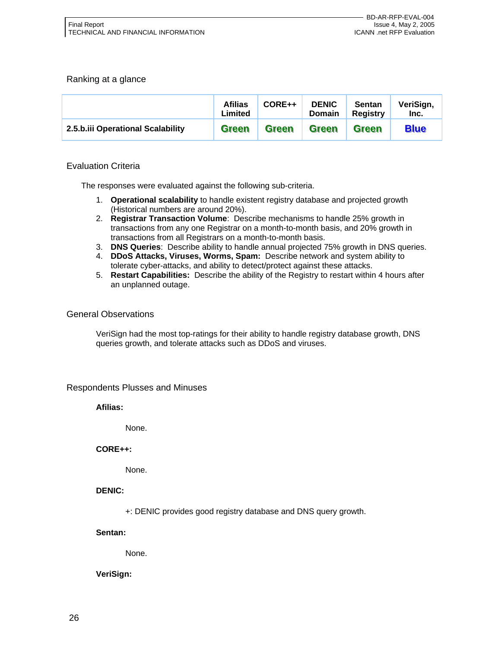#### Ranking at a glance

|                                   | <b>Afilias</b><br>Limited | CORE++       | <b>DENIC</b><br><b>Domain</b> | <b>Sentan</b><br><b>Registry</b> | VeriSign,<br>Inc. |
|-----------------------------------|---------------------------|--------------|-------------------------------|----------------------------------|-------------------|
| 2.5.b.iii Operational Scalability | <b>Green</b>              | <b>Green</b> | <b>Green</b>                  | <b>Green</b>                     | <b>Blue</b>       |

#### Evaluation Criteria

The responses were evaluated against the following sub-criteria.

- 1. **Operational scalability** to handle existent registry database and projected growth (Historical numbers are around 20%).
- 2. **Registrar Transaction Volume**: Describe mechanisms to handle 25% growth in transactions from any one Registrar on a month-to-month basis, and 20% growth in transactions from all Registrars on a month-to-month basis.
- 3. **DNS Queries**: Describe ability to handle annual projected 75% growth in DNS queries.
- 4. **DDoS Attacks, Viruses, Worms, Spam:** Describe network and system ability to tolerate cyber-attacks, and ability to detect/protect against these attacks.
- 5. **Restart Capabilities:** Describe the ability of the Registry to restart within 4 hours after an unplanned outage.

#### General Observations

VeriSign had the most top-ratings for their ability to handle registry database growth, DNS queries growth, and tolerate attacks such as DDoS and viruses.

#### Respondents Plusses and Minuses

**Afilias:** 

None.

#### **CORE++:**

None.

**DENIC:** 

+: DENIC provides good registry database and DNS query growth.

**Sentan:** 

None.

#### **VeriSign:**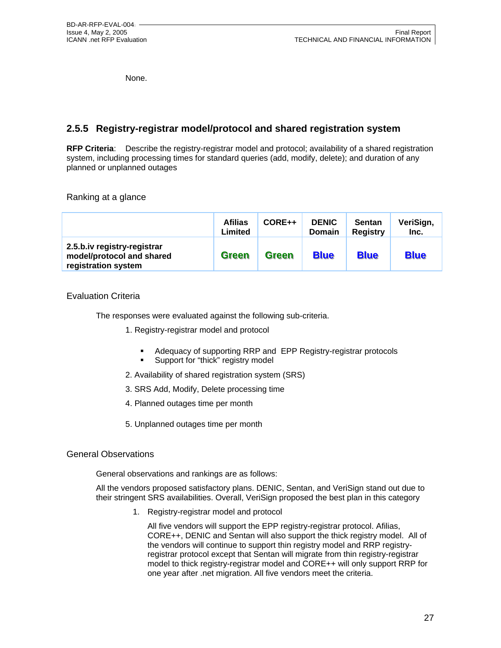None.

# **2.5.5 Registry-registrar model/protocol and shared registration system**

**RFP Criteria**: Describe the registry-registrar model and protocol; availability of a shared registration system, including processing times for standard queries (add, modify, delete); and duration of any planned or unplanned outages

Ranking at a glance

|                                                                                 | <b>Afilias</b><br>Limited | CORE++       | <b>DENIC</b><br><b>Domain</b> | <b>Sentan</b><br><b>Registry</b> | VeriSign,<br>Inc. |
|---------------------------------------------------------------------------------|---------------------------|--------------|-------------------------------|----------------------------------|-------------------|
| 2.5.b.iv registry-registrar<br>model/protocol and shared<br>registration system | <b>Green</b>              | <b>Green</b> | <b>Blue</b>                   | <b>Blue</b>                      | <b>Blue</b>       |

#### Evaluation Criteria

The responses were evaluated against the following sub-criteria.

- 1. Registry-registrar model and protocol
	- Adequacy of supporting RRP and EPP Registry-registrar protocols
	- **Support for "thick" registry model**
- 2. Availability of shared registration system (SRS)
- 3. SRS Add, Modify, Delete processing time
- 4. Planned outages time per month
- 5. Unplanned outages time per month

#### General Observations

General observations and rankings are as follows:

All the vendors proposed satisfactory plans. DENIC, Sentan, and VeriSign stand out due to their stringent SRS availabilities. Overall, VeriSign proposed the best plan in this category

1. Registry-registrar model and protocol

All five vendors will support the EPP registry-registrar protocol. Afilias, CORE++, DENIC and Sentan will also support the thick registry model. All of the vendors will continue to support thin registry model and RRP registryregistrar protocol except that Sentan will migrate from thin registry-registrar model to thick registry-registrar model and CORE++ will only support RRP for one year after .net migration. All five vendors meet the criteria.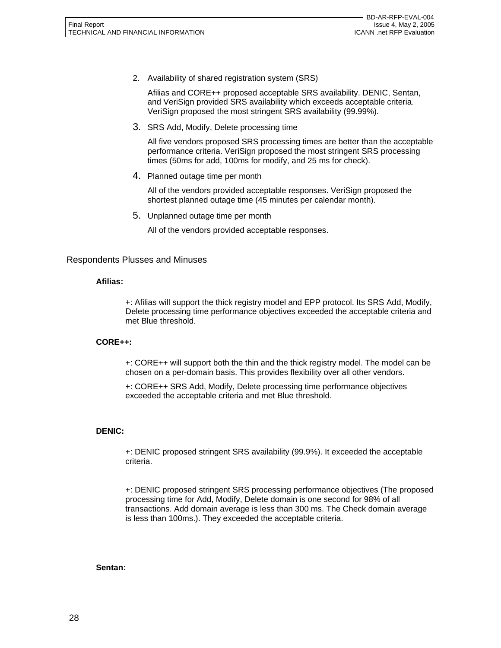2. Availability of shared registration system (SRS)

Afilias and CORE++ proposed acceptable SRS availability. DENIC, Sentan, and VeriSign provided SRS availability which exceeds acceptable criteria. VeriSign proposed the most stringent SRS availability (99.99%).

3. SRS Add, Modify, Delete processing time

All five vendors proposed SRS processing times are better than the acceptable performance criteria. VeriSign proposed the most stringent SRS processing times (50ms for add, 100ms for modify, and 25 ms for check).

4. Planned outage time per month

All of the vendors provided acceptable responses. VeriSign proposed the shortest planned outage time (45 minutes per calendar month).

5. Unplanned outage time per month

All of the vendors provided acceptable responses.

#### Respondents Plusses and Minuses

#### **Afilias:**

+: Afilias will support the thick registry model and EPP protocol. Its SRS Add, Modify, Delete processing time performance objectives exceeded the acceptable criteria and met Blue threshold.

#### **CORE++:**

+: CORE++ will support both the thin and the thick registry model. The model can be chosen on a per-domain basis. This provides flexibility over all other vendors.

+: CORE++ SRS Add, Modify, Delete processing time performance objectives exceeded the acceptable criteria and met Blue threshold.

#### **DENIC:**

+: DENIC proposed stringent SRS availability (99.9%). It exceeded the acceptable criteria.

+: DENIC proposed stringent SRS processing performance objectives (The proposed processing time for Add, Modify, Delete domain is one second for 98% of all transactions. Add domain average is less than 300 ms. The Check domain average is less than 100ms.). They exceeded the acceptable criteria.

#### **Sentan:**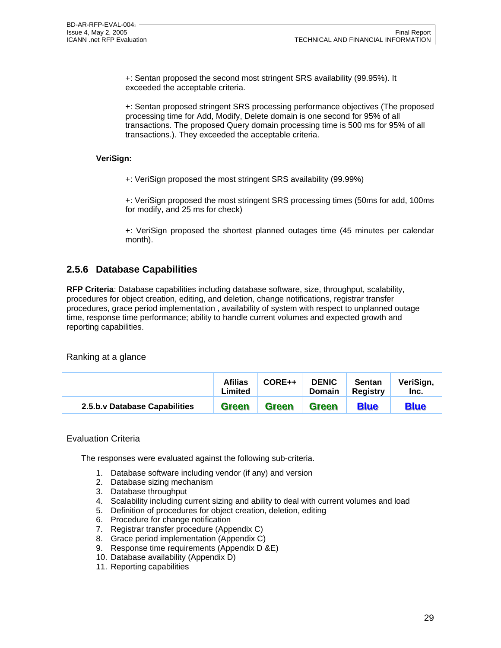+: Sentan proposed the second most stringent SRS availability (99.95%). It exceeded the acceptable criteria.

+: Sentan proposed stringent SRS processing performance objectives (The proposed processing time for Add, Modify, Delete domain is one second for 95% of all transactions. The proposed Query domain processing time is 500 ms for 95% of all transactions.). They exceeded the acceptable criteria.

#### **VeriSign:**

+: VeriSign proposed the most stringent SRS availability (99.99%)

+: VeriSign proposed the most stringent SRS processing times (50ms for add, 100ms for modify, and 25 ms for check)

+: VeriSign proposed the shortest planned outages time (45 minutes per calendar month).

## **2.5.6 Database Capabilities**

**RFP Criteria**: Database capabilities including database software, size, throughput, scalability, procedures for object creation, editing, and deletion, change notifications, registrar transfer procedures, grace period implementation , availability of system with respect to unplanned outage time, response time performance; ability to handle current volumes and expected growth and reporting capabilities.

Ranking at a glance

|                               | <b>Afilias</b><br>Limited | CORE++       | <b>DENIC</b><br><b>Domain</b> | <b>Sentan</b><br><b>Registry</b> | VeriSign,<br>Inc. |
|-------------------------------|---------------------------|--------------|-------------------------------|----------------------------------|-------------------|
| 2.5.b.v Database Capabilities | Green                     | <b>Green</b> | <b>Green</b>                  | <b>Blue</b>                      | <b>Blue</b>       |

#### Evaluation Criteria

The responses were evaluated against the following sub-criteria.

- 1. Database software including vendor (if any) and version
- 2. Database sizing mechanism
- 3. Database throughput
- 4. Scalability including current sizing and ability to deal with current volumes and load
- 5. Definition of procedures for object creation, deletion, editing
- 6. Procedure for change notification
- 7. Registrar transfer procedure (Appendix C)
- 8. Grace period implementation (Appendix C)
- 9. Response time requirements (Appendix D &E)
- 10. Database availability (Appendix D)
- 11. Reporting capabilities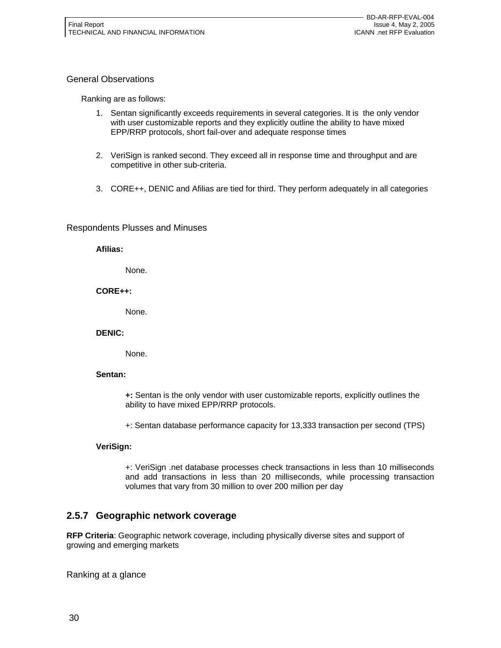#### General Observations

Ranking are as follows:

- 1. Sentan significantly exceeds requirements in several categories. It is the only vendor with user customizable reports and they explicitly outline the ability to have mixed EPP/RRP protocols, short fail-over and adequate response times
- 2. VeriSign is ranked second. They exceed all in response time and throughput and are competitive in other sub-criteria.
- 3. CORE++, DENIC and Afilias are tied for third. They perform adequately in all categories

#### Respondents Plusses and Minuses

**Afilias:** 

None.

#### **CORE++:**

None.

#### **DENIC:**

None.

#### **Sentan:**

**+:** Sentan is the only vendor with user customizable reports, explicitly outlines the ability to have mixed EPP/RRP protocols.

+: Sentan database performance capacity for 13,333 transaction per second (TPS)

#### **VeriSign:**

+: VeriSign .net database processes check transactions in less than 10 milliseconds and add transactions in less than 20 milliseconds, while processing transaction volumes that vary from 30 million to over 200 million per day

## **2.5.7 Geographic network coverage**

**RFP Criteria**: Geographic network coverage, including physically diverse sites and support of growing and emerging markets

Ranking at a glance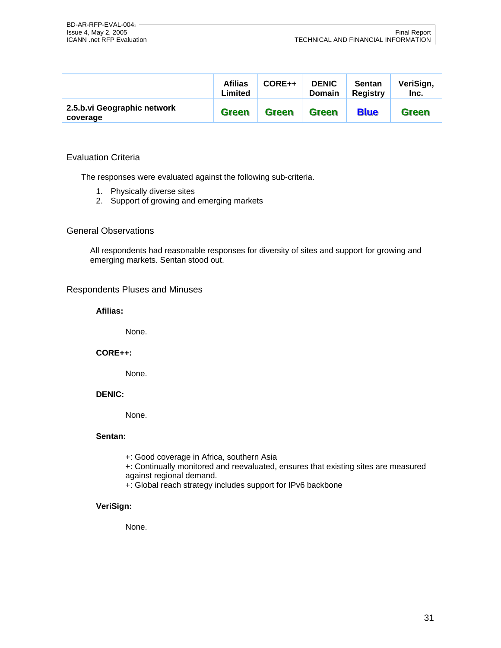|                                         | <b>Afilias</b><br>Limited | $CORE++$     | <b>DENIC</b><br><b>Domain</b> | <b>Sentan</b><br><b>Registry</b> | VeriSign,<br>Inc. |
|-----------------------------------------|---------------------------|--------------|-------------------------------|----------------------------------|-------------------|
| 2.5.b.vi Geographic network<br>coverage | <b>Green</b>              | <b>Green</b> | <b>Green</b>                  | <b>Blue</b>                      | <b>Green</b>      |

#### Evaluation Criteria

The responses were evaluated against the following sub-criteria.

- 1. Physically diverse sites
- 2. Support of growing and emerging markets

#### General Observations

All respondents had reasonable responses for diversity of sites and support for growing and emerging markets. Sentan stood out.

#### Respondents Pluses and Minuses

**Afilias:** 

None.

#### **CORE++:**

None.

#### **DENIC:**

None.

#### **Sentan:**

- +: Good coverage in Africa, southern Asia
- +: Continually monitored and reevaluated, ensures that existing sites are measured against regional demand.
- +: Global reach strategy includes support for IPv6 backbone

#### **VeriSign:**

None.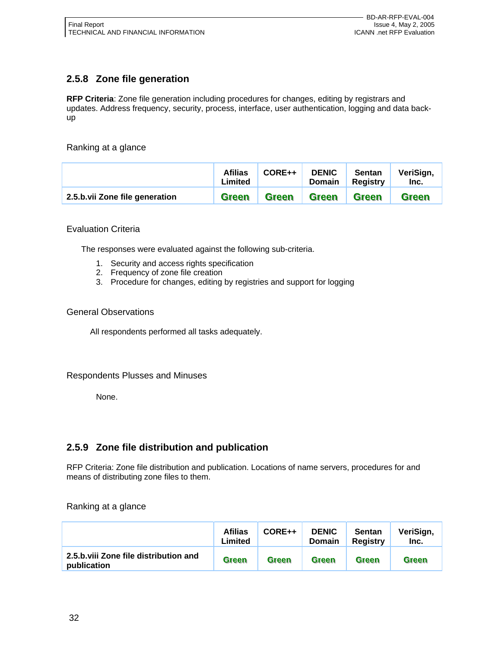# **2.5.8 Zone file generation**

**RFP Criteria**: Zone file generation including procedures for changes, editing by registrars and updates. Address frequency, security, process, interface, user authentication, logging and data backup

Ranking at a glance

|                                | <b>Afilias</b><br>Limited | $CORE++$     | <b>DENIC</b><br><b>Domain</b> | <b>Sentan</b><br>Reaistrv | VeriSign,<br>Inc. |
|--------------------------------|---------------------------|--------------|-------------------------------|---------------------------|-------------------|
| 2.5.b.vii Zone file generation | Green                     | <b>Green</b> | <b>Green</b>                  | <b>Green</b>              | <b>Green</b>      |

#### Evaluation Criteria

The responses were evaluated against the following sub-criteria.

- 1. Security and access rights specification
- 2. Frequency of zone file creation
- 3. Procedure for changes, editing by registries and support for logging

#### General Observations

All respondents performed all tasks adequately.

#### Respondents Plusses and Minuses

None.

## **2.5.9 Zone file distribution and publication**

RFP Criteria: Zone file distribution and publication. Locations of name servers, procedures for and means of distributing zone files to them.

Ranking at a glance

|                                                      | <b>Afilias</b><br>Limited | $CORE++$     | <b>DENIC</b><br><b>Domain</b> | <b>Sentan</b><br><b>Registry</b> | VeriSign,<br>Inc. |
|------------------------------------------------------|---------------------------|--------------|-------------------------------|----------------------------------|-------------------|
| 2.5.b.viij Zone file distribution and<br>publication | Green                     | <b>Green</b> | <b>Green</b>                  | Green                            | <b>Green</b>      |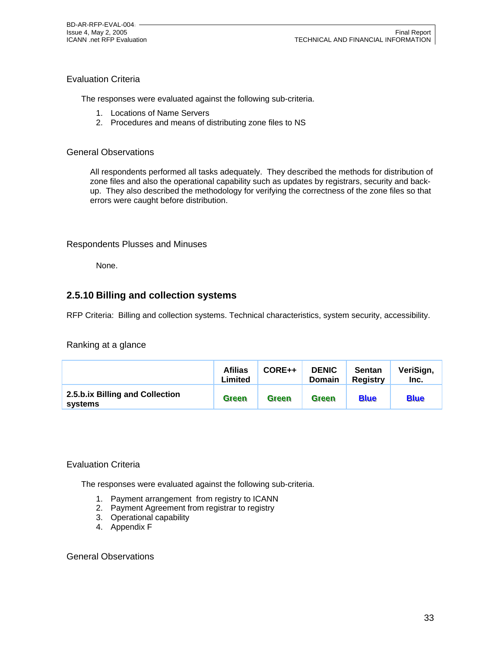### Evaluation Criteria

The responses were evaluated against the following sub-criteria.

- 1. Locations of Name Servers
- 2. Procedures and means of distributing zone files to NS

#### General Observations

All respondents performed all tasks adequately. They described the methods for distribution of zone files and also the operational capability such as updates by registrars, security and backup. They also described the methodology for verifying the correctness of the zone files so that errors were caught before distribution.

#### Respondents Plusses and Minuses

None.

### **2.5.10 Billing and collection systems**

RFP Criteria: Billing and collection systems. Technical characteristics, system security, accessibility.

#### Ranking at a glance

|                                            | <b>Afilias</b><br>Limited | CORE++ | <b>DENIC</b><br><b>Domain</b> | <b>Sentan</b><br><b>Registry</b> | VeriSign,<br>Inc. |
|--------------------------------------------|---------------------------|--------|-------------------------------|----------------------------------|-------------------|
| 2.5.b.ix Billing and Collection<br>systems | <b>Green</b>              | Green  | <b>Green</b>                  | <b>Blue</b>                      | <b>Blue</b>       |

#### Evaluation Criteria

The responses were evaluated against the following sub-criteria.

- 1. Payment arrangement from registry to ICANN
- 2. Payment Agreement from registrar to registry
- 3. Operational capability
- 4. Appendix F

#### General Observations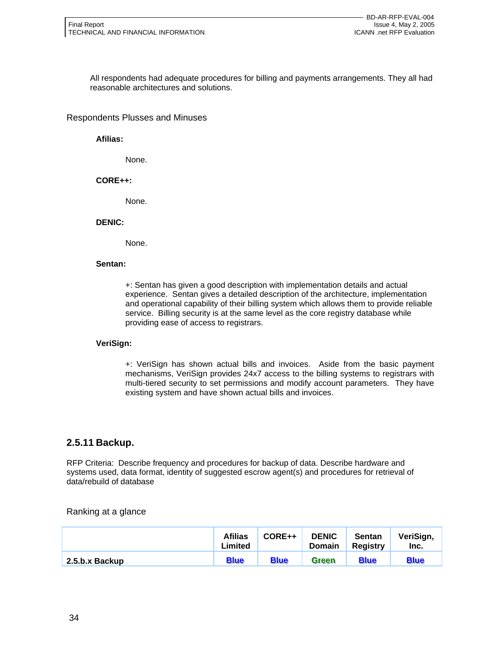All respondents had adequate procedures for billing and payments arrangements. They all had reasonable architectures and solutions.

#### Respondents Plusses and Minuses

**Afilias:** 

None.

#### **CORE++:**

None.

#### **DENIC:**

None.

#### **Sentan:**

+: Sentan has given a good description with implementation details and actual experience. Sentan gives a detailed description of the architecture, implementation and operational capability of their billing system which allows them to provide reliable service. Billing security is at the same level as the core registry database while providing ease of access to registrars.

#### **VeriSign:**

+: VeriSign has shown actual bills and invoices. Aside from the basic payment mechanisms, VeriSign provides 24x7 access to the billing systems to registrars with multi-tiered security to set permissions and modify account parameters. They have existing system and have shown actual bills and invoices.

#### **2.5.11 Backup.**

RFP Criteria: Describe frequency and procedures for backup of data. Describe hardware and systems used, data format, identity of suggested escrow agent(s) and procedures for retrieval of data/rebuild of database

Ranking at a glance

|                | <b>Afilias</b><br>Limited | CORE++      | <b>DENIC</b><br><b>Domain</b> | <b>Sentan</b><br><b>Registry</b> | VeriSign,<br>Inc. |
|----------------|---------------------------|-------------|-------------------------------|----------------------------------|-------------------|
| 2.5.b.x Backup | <b>Blue</b>               | <b>Blue</b> | Green                         | <b>Blue</b>                      | <b>Blue</b>       |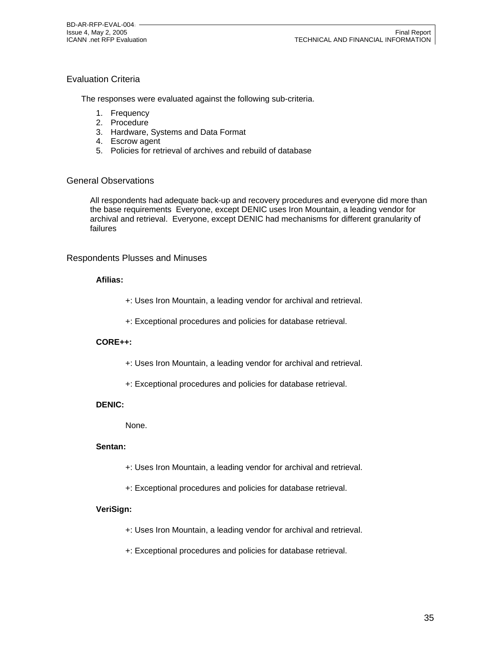### Evaluation Criteria

The responses were evaluated against the following sub-criteria.

- 1. Frequency
- 2. Procedure
- 3. Hardware, Systems and Data Format
- 4. Escrow agent
- 5. Policies for retrieval of archives and rebuild of database

#### General Observations

All respondents had adequate back-up and recovery procedures and everyone did more than the base requirements Everyone, except DENIC uses Iron Mountain, a leading vendor for archival and retrieval. Everyone, except DENIC had mechanisms for different granularity of failures

#### Respondents Plusses and Minuses

#### **Afilias:**

- +: Uses Iron Mountain, a leading vendor for archival and retrieval.
- +: Exceptional procedures and policies for database retrieval.

#### **CORE++:**

- +: Uses Iron Mountain, a leading vendor for archival and retrieval.
- +: Exceptional procedures and policies for database retrieval.

#### **DENIC:**

None.

#### **Sentan:**

- +: Uses Iron Mountain, a leading vendor for archival and retrieval.
- +: Exceptional procedures and policies for database retrieval.

#### **VeriSign:**

- +: Uses Iron Mountain, a leading vendor for archival and retrieval.
- +: Exceptional procedures and policies for database retrieval.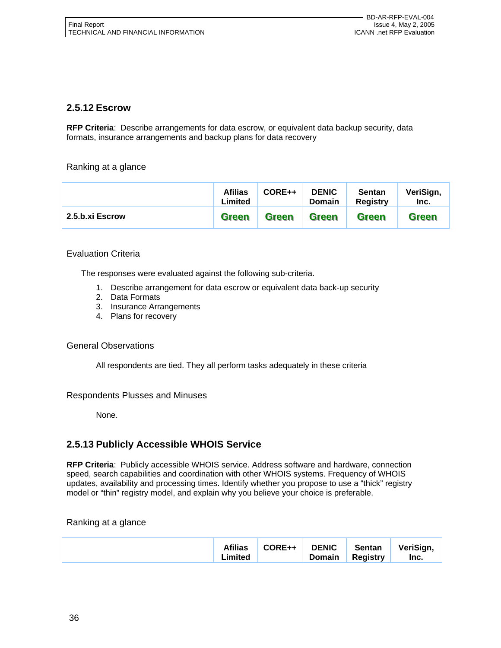### **2.5.12 Escrow**

**RFP Criteria**: Describe arrangements for data escrow, or equivalent data backup security, data formats, insurance arrangements and backup plans for data recovery

Ranking at a glance

|                 | <b>Afilias</b><br>Limited | $CORE++$     | <b>DENIC</b><br><b>Domain</b> | <b>Sentan</b><br><b>Registry</b> | VeriSign,<br>Inc. |
|-----------------|---------------------------|--------------|-------------------------------|----------------------------------|-------------------|
| 2.5.b.xi Escrow | Green                     | <b>Green</b> | Green                         | Green                            | <b>Green</b>      |

### Evaluation Criteria

The responses were evaluated against the following sub-criteria.

- 1. Describe arrangement for data escrow or equivalent data back-up security
- 2. Data Formats
- 3. Insurance Arrangements
- 4. Plans for recovery

#### General Observations

All respondents are tied. They all perform tasks adequately in these criteria

#### Respondents Plusses and Minuses

None.

## **2.5.13 Publicly Accessible WHOIS Service**

**RFP Criteria**: Publicly accessible WHOIS service. Address software and hardware, connection speed, search capabilities and coordination with other WHOIS systems. Frequency of WHOIS updates, availability and processing times. Identify whether you propose to use a "thick" registry model or "thin" registry model, and explain why you believe your choice is preferable.

### Ranking at a glance

|  | <b>Afilias</b><br>∟imited | CORE++ | <b>DENIC</b><br>Domain | Sentan<br><b>Registry</b> | VeriSign,<br>Inc. |
|--|---------------------------|--------|------------------------|---------------------------|-------------------|
|--|---------------------------|--------|------------------------|---------------------------|-------------------|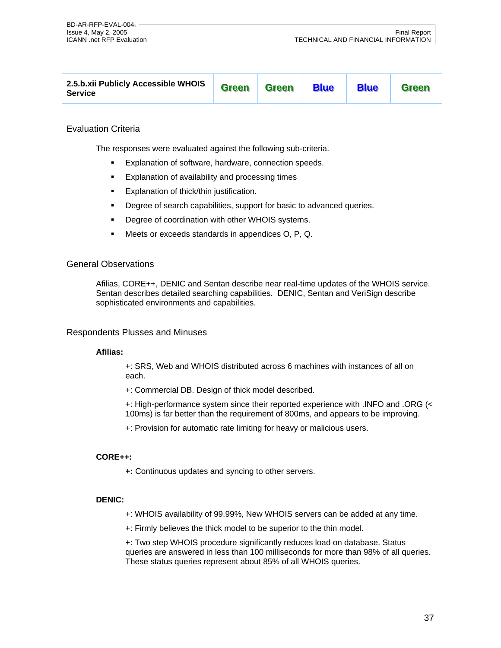| 2.5.b.xii Publicly Accessible WHOIS<br>Service | <b>Green</b> | <b>Green</b> | <b>Blue</b> | <b>Blue</b> | <b>Green</b> |
|------------------------------------------------|--------------|--------------|-------------|-------------|--------------|
|------------------------------------------------|--------------|--------------|-------------|-------------|--------------|

#### Evaluation Criteria

The responses were evaluated against the following sub-criteria.

- **Explanation of software, hardware, connection speeds.**
- Explanation of availability and processing times
- Explanation of thick/thin justification.
- Degree of search capabilities, support for basic to advanced queries.
- **•** Degree of coordination with other WHOIS systems.
- Meets or exceeds standards in appendices O, P, Q.

#### General Observations

Afilias, CORE++, DENIC and Sentan describe near real-time updates of the WHOIS service. Sentan describes detailed searching capabilities. DENIC, Sentan and VeriSign describe sophisticated environments and capabilities.

#### Respondents Plusses and Minuses

#### **Afilias:**

+: SRS, Web and WHOIS distributed across 6 machines with instances of all on each.

+: Commercial DB. Design of thick model described.

+: High-performance system since their reported experience with .INFO and .ORG (< 100ms) is far better than the requirement of 800ms, and appears to be improving.

+: Provision for automatic rate limiting for heavy or malicious users.

#### **CORE++:**

**+:** Continuous updates and syncing to other servers.

#### **DENIC:**

- +: WHOIS availability of 99.99%, New WHOIS servers can be added at any time.
- +: Firmly believes the thick model to be superior to the thin model.

+: Two step WHOIS procedure significantly reduces load on database. Status queries are answered in less than 100 milliseconds for more than 98% of all queries. These status queries represent about 85% of all WHOIS queries.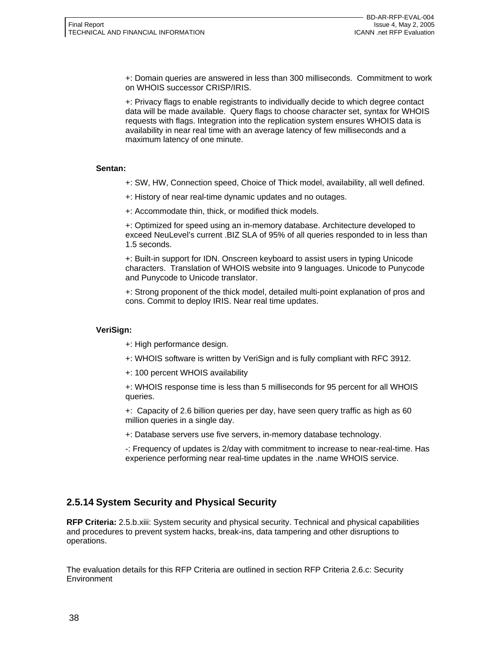+: Domain queries are answered in less than 300 milliseconds. Commitment to work on WHOIS successor CRISP/IRIS.

+: Privacy flags to enable registrants to individually decide to which degree contact data will be made available. Query flags to choose character set, syntax for WHOIS requests with flags. Integration into the replication system ensures WHOIS data is availability in near real time with an average latency of few milliseconds and a maximum latency of one minute.

#### **Sentan:**

- +: SW, HW, Connection speed, Choice of Thick model, availability, all well defined.
- +: History of near real-time dynamic updates and no outages.
- +: Accommodate thin, thick, or modified thick models.

+: Optimized for speed using an in-memory database. Architecture developed to exceed NeuLevel's current .BIZ SLA of 95% of all queries responded to in less than 1.5 seconds.

+: Built-in support for IDN. Onscreen keyboard to assist users in typing Unicode characters. Translation of WHOIS website into 9 languages. Unicode to Punycode and Punycode to Unicode translator.

+: Strong proponent of the thick model, detailed multi-point explanation of pros and cons. Commit to deploy IRIS. Near real time updates.

#### **VeriSign:**

- +: High performance design.
- +: WHOIS software is written by VeriSign and is fully compliant with RFC 3912.
- +: 100 percent WHOIS availability

+: WHOIS response time is less than 5 milliseconds for 95 percent for all WHOIS queries.

+: Capacity of 2.6 billion queries per day, have seen query traffic as high as 60 million queries in a single day.

+: Database servers use five servers, in-memory database technology.

-: Frequency of updates is 2/day with commitment to increase to near-real-time. Has experience performing near real-time updates in the .name WHOIS service.

## **2.5.14 System Security and Physical Security**

**RFP Criteria:** 2.5.b.xiii: System security and physical security. Technical and physical capabilities and procedures to prevent system hacks, break-ins, data tampering and other disruptions to operations.

The evaluation details for this RFP Criteria are outlined in section RFP Criteria 2.6.c: Security Environment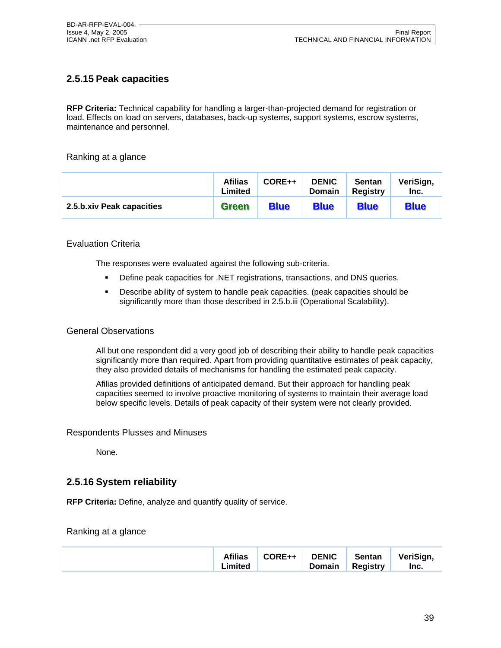# **2.5.15 Peak capacities**

**RFP Criteria:** Technical capability for handling a larger-than-projected demand for registration or load. Effects on load on servers, databases, back-up systems, support systems, escrow systems, maintenance and personnel.

#### Ranking at a glance

|                           | <b>Afilias</b><br>Limited | CORE++      | <b>DENIC</b><br><b>Domain</b> | <b>Sentan</b><br><b>Registry</b> | VeriSign,<br>Inc. |
|---------------------------|---------------------------|-------------|-------------------------------|----------------------------------|-------------------|
| 2.5.b.xiv Peak capacities | Green                     | <b>Blue</b> | <b>Blue</b>                   | <b>Blue</b>                      | <b>Blue</b>       |

#### Evaluation Criteria

The responses were evaluated against the following sub-criteria.

- **Define peak capacities for .NET registrations, transactions, and DNS queries.**
- **Describe ability of system to handle peak capacities. (peak capacities should be** significantly more than those described in 2.5.b.iii (Operational Scalability).

#### General Observations

All but one respondent did a very good job of describing their ability to handle peak capacities significantly more than required. Apart from providing quantitative estimates of peak capacity, they also provided details of mechanisms for handling the estimated peak capacity.

Afilias provided definitions of anticipated demand. But their approach for handling peak capacities seemed to involve proactive monitoring of systems to maintain their average load below specific levels. Details of peak capacity of their system were not clearly provided.

Respondents Plusses and Minuses

None.

### **2.5.16 System reliability**

**RFP Criteria:** Define, analyze and quantify quality of service.

#### Ranking at a glance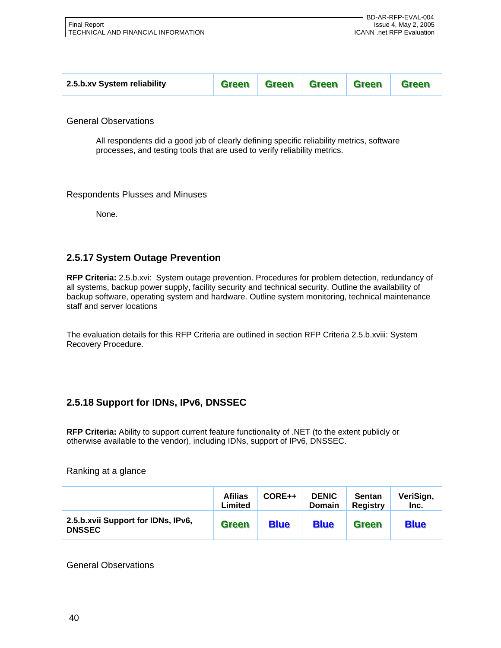| 2.5.b.xv System reliability |  |  |  | Green Green Green Green | <b>Green</b> |
|-----------------------------|--|--|--|-------------------------|--------------|
|-----------------------------|--|--|--|-------------------------|--------------|

General Observations

All respondents did a good job of clearly defining specific reliability metrics, software processes, and testing tools that are used to verify reliability metrics.

#### Respondents Plusses and Minuses

None.

## **2.5.17 System Outage Prevention**

**RFP Criteria:** 2.5.b.xvi: System outage prevention. Procedures for problem detection, redundancy of all systems, backup power supply, facility security and technical security. Outline the availability of backup software, operating system and hardware. Outline system monitoring, technical maintenance staff and server locations

The evaluation details for this RFP Criteria are outlined in section RFP Criteria 2.5.b.xviii: System Recovery Procedure.

## **2.5.18 Support for IDNs, IPv6, DNSSEC**

**RFP Criteria:** Ability to support current feature functionality of .NET (to the extent publicly or otherwise available to the vendor), including IDNs, support of IPv6, DNSSEC.

Ranking at a glance

|                                                     | <b>Afilias</b><br>Limited | CORE++      | <b>DENIC</b><br><b>Domain</b> | <b>Sentan</b><br><b>Registry</b> | VeriSign,<br>Inc. |
|-----------------------------------------------------|---------------------------|-------------|-------------------------------|----------------------------------|-------------------|
| 2.5.b.xvii Support for IDNs, IPv6,<br><b>DNSSEC</b> | <b>Green</b>              | <b>Blue</b> | <b>Blue</b>                   | <b>Green</b>                     | <b>Blue</b>       |

General Observations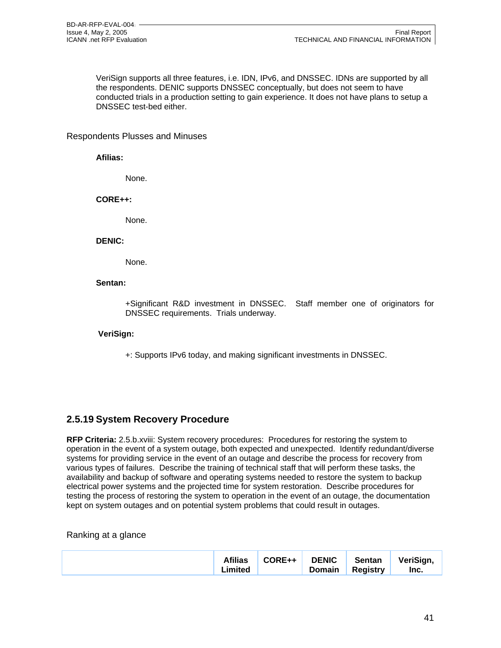VeriSign supports all three features, i.e. IDN, IPv6, and DNSSEC. IDNs are supported by all the respondents. DENIC supports DNSSEC conceptually, but does not seem to have conducted trials in a production setting to gain experience. It does not have plans to setup a DNSSEC test-bed either.

#### Respondents Plusses and Minuses

#### **Afilias:**

None.

**CORE++:** 

None.

#### **DENIC:**

None.

#### **Sentan:**

+Significant R&D investment in DNSSEC. Staff member one of originators for DNSSEC requirements. Trials underway.

#### **VeriSign:**

+: Supports IPv6 today, and making significant investments in DNSSEC.

### **2.5.19 System Recovery Procedure**

**RFP Criteria:** 2.5.b.xviii: System recovery procedures: Procedures for restoring the system to operation in the event of a system outage, both expected and unexpected. Identify redundant/diverse systems for providing service in the event of an outage and describe the process for recovery from various types of failures. Describe the training of technical staff that will perform these tasks, the availability and backup of software and operating systems needed to restore the system to backup electrical power systems and the projected time for system restoration. Describe procedures for testing the process of restoring the system to operation in the event of an outage, the documentation kept on system outages and on potential system problems that could result in outages.

#### Ranking at a glance

|  | <b>Afilias</b><br>Limited | $\overline{1}$ CORE++ $\overline{1}$ | <b>DENIC</b><br>Domain | <b>Sentan</b><br><b>Registry</b> | VeriSign,<br>Inc. |
|--|---------------------------|--------------------------------------|------------------------|----------------------------------|-------------------|
|--|---------------------------|--------------------------------------|------------------------|----------------------------------|-------------------|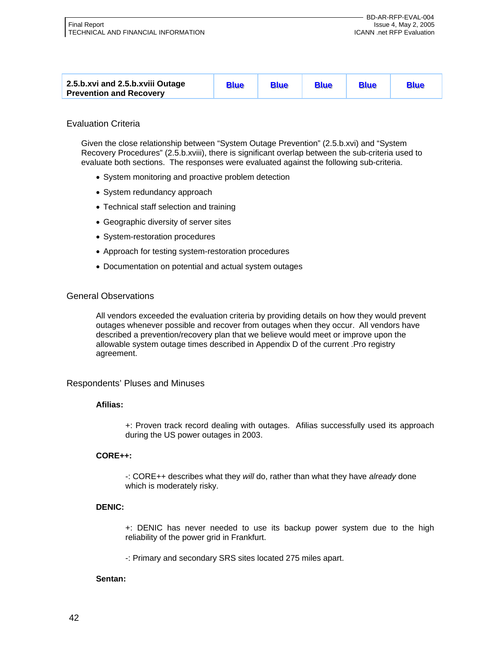| 2.5.b.xvi and 2.5.b.xviii Outage<br><b>Prevention and Recovery</b> | <b>Blue</b> | <b>Blue</b> | <b>Blue</b> | <b>Blue</b> | <b>Blue</b> |
|--------------------------------------------------------------------|-------------|-------------|-------------|-------------|-------------|
|--------------------------------------------------------------------|-------------|-------------|-------------|-------------|-------------|

#### Evaluation Criteria

Given the close relationship between "System Outage Prevention" (2.5.b.xvi) and "System Recovery Procedures" (2.5.b.xviii), there is significant overlap between the sub-criteria used to evaluate both sections. The responses were evaluated against the following sub-criteria.

- System monitoring and proactive problem detection
- System redundancy approach
- Technical staff selection and training
- Geographic diversity of server sites
- System-restoration procedures
- Approach for testing system-restoration procedures
- Documentation on potential and actual system outages

#### General Observations

All vendors exceeded the evaluation criteria by providing details on how they would prevent outages whenever possible and recover from outages when they occur. All vendors have described a prevention/recovery plan that we believe would meet or improve upon the allowable system outage times described in Appendix D of the current .Pro registry agreement.

#### Respondents' Pluses and Minuses

#### **Afilias:**

+: Proven track record dealing with outages. Afilias successfully used its approach during the US power outages in 2003.

#### **CORE++:**

-: CORE++ describes what they *will* do, rather than what they have *already* done which is moderately risky.

#### **DENIC:**

+: DENIC has never needed to use its backup power system due to the high reliability of the power grid in Frankfurt.

-: Primary and secondary SRS sites located 275 miles apart.

#### **Sentan:**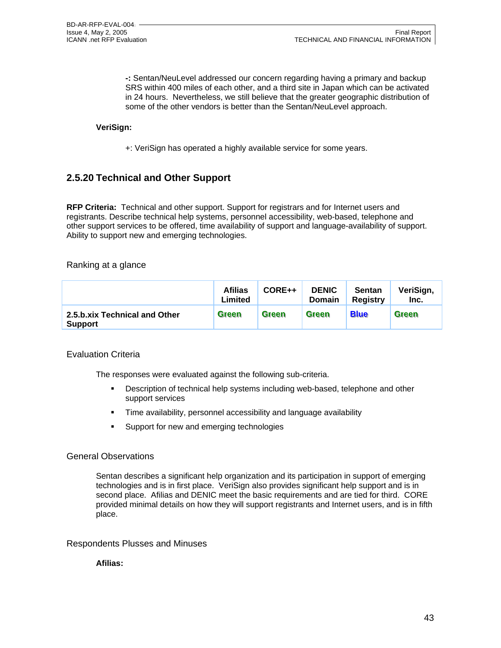**-:** Sentan/NeuLevel addressed our concern regarding having a primary and backup SRS within 400 miles of each other, and a third site in Japan which can be activated in 24 hours. Nevertheless, we still believe that the greater geographic distribution of some of the other vendors is better than the Sentan/NeuLevel approach.

#### **VeriSign:**

+: VeriSign has operated a highly available service for some years.

## **2.5.20 Technical and Other Support**

**RFP Criteria:** Technical and other support. Support for registrars and for Internet users and registrants. Describe technical help systems, personnel accessibility, web-based, telephone and other support services to be offered, time availability of support and language-availability of support. Ability to support new and emerging technologies.

#### Ranking at a glance

|                                                 | <b>Afilias</b><br>Limited | $CORE++$     | <b>DENIC</b><br><b>Domain</b> | <b>Sentan</b><br><b>Registry</b> | VeriSign,<br>Inc. |
|-------------------------------------------------|---------------------------|--------------|-------------------------------|----------------------------------|-------------------|
| 2.5.b.xix Technical and Other<br><b>Support</b> | Green                     | <b>Green</b> | <b>Green</b>                  | <b>Blue</b>                      | Green             |

#### Evaluation Criteria

The responses were evaluated against the following sub-criteria.

- Description of technical help systems including web-based, telephone and other support services
- Time availability, personnel accessibility and language availability
- Support for new and emerging technologies

#### General Observations

Sentan describes a significant help organization and its participation in support of emerging technologies and is in first place. VeriSign also provides significant help support and is in second place. Afilias and DENIC meet the basic requirements and are tied for third. CORE provided minimal details on how they will support registrants and Internet users, and is in fifth place.

#### Respondents Plusses and Minuses

#### **Afilias:**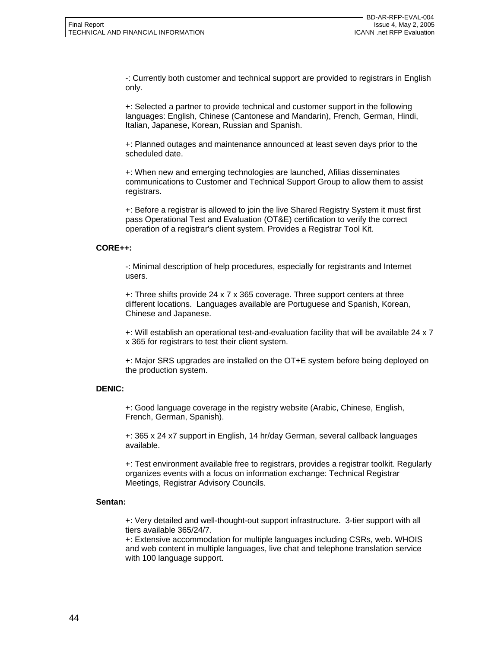-: Currently both customer and technical support are provided to registrars in English only.

+: Selected a partner to provide technical and customer support in the following languages: English, Chinese (Cantonese and Mandarin), French, German, Hindi, Italian, Japanese, Korean, Russian and Spanish.

+: Planned outages and maintenance announced at least seven days prior to the scheduled date.

+: When new and emerging technologies are launched, Afilias disseminates communications to Customer and Technical Support Group to allow them to assist registrars.

+: Before a registrar is allowed to join the live Shared Registry System it must first pass Operational Test and Evaluation (OT&E) certification to verify the correct operation of a registrar's client system. Provides a Registrar Tool Kit.

#### **CORE++:**

-: Minimal description of help procedures, especially for registrants and Internet users.

+: Three shifts provide 24 x 7 x 365 coverage. Three support centers at three different locations. Languages available are Portuguese and Spanish, Korean, Chinese and Japanese.

+: Will establish an operational test-and-evaluation facility that will be available 24 x 7 x 365 for registrars to test their client system.

+: Major SRS upgrades are installed on the OT+E system before being deployed on the production system.

#### **DENIC:**

+: Good language coverage in the registry website (Arabic, Chinese, English, French, German, Spanish).

+: 365 x 24 x7 support in English, 14 hr/day German, several callback languages available.

+: Test environment available free to registrars, provides a registrar toolkit. Regularly organizes events with a focus on information exchange: Technical Registrar Meetings, Registrar Advisory Councils.

#### **Sentan:**

+: Very detailed and well-thought-out support infrastructure. 3-tier support with all tiers available 365/24/7.

+: Extensive accommodation for multiple languages including CSRs, web. WHOIS and web content in multiple languages, live chat and telephone translation service with 100 language support.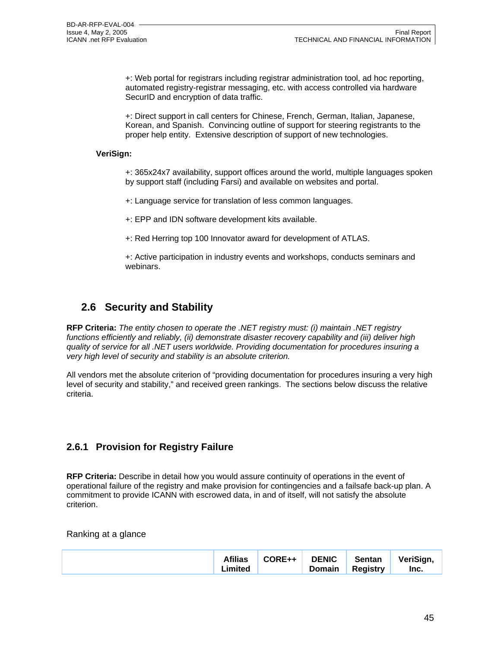+: Web portal for registrars including registrar administration tool, ad hoc reporting, automated registry-registrar messaging, etc. with access controlled via hardware SecurID and encryption of data traffic.

+: Direct support in call centers for Chinese, French, German, Italian, Japanese, Korean, and Spanish. Convincing outline of support for steering registrants to the proper help entity. Extensive description of support of new technologies.

#### **VeriSign:**

+: 365x24x7 availability, support offices around the world, multiple languages spoken by support staff (including Farsi) and available on websites and portal.

+: Language service for translation of less common languages.

+: EPP and IDN software development kits available.

+: Red Herring top 100 Innovator award for development of ATLAS.

+: Active participation in industry events and workshops, conducts seminars and webinars.

# **2.6 Security and Stability**

**RFP Criteria:** *The entity chosen to operate the .NET registry must: (i) maintain .NET registry functions efficiently and reliably, (ii) demonstrate disaster recovery capability and (iii) deliver high quality of service for all .NET users worldwide. Providing documentation for procedures insuring a very high level of security and stability is an absolute criterion.* 

All vendors met the absolute criterion of "providing documentation for procedures insuring a very high level of security and stability," and received green rankings. The sections below discuss the relative criteria.

## **2.6.1 Provision for Registry Failure**

**RFP Criteria:** Describe in detail how you would assure continuity of operations in the event of operational failure of the registry and make provision for contingencies and a failsafe back-up plan. A commitment to provide ICANN with escrowed data, in and of itself, will not satisfy the absolute criterion.

Ranking at a glance

|  | <b>Afilias</b><br>CORE++<br>∟imited | <b>DENIC</b><br>Domain | Sentan<br><b>Registry</b> | VeriSign,<br>Inc. |
|--|-------------------------------------|------------------------|---------------------------|-------------------|
|--|-------------------------------------|------------------------|---------------------------|-------------------|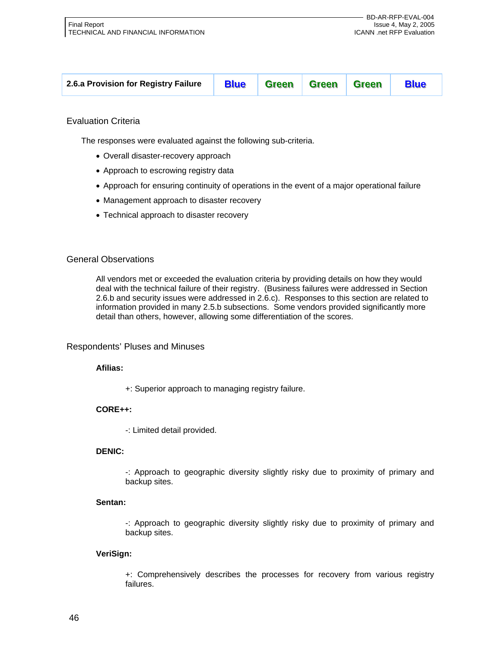| <b>Blue Green Green Green</b><br><b>Blue</b><br>2.6.a Provision for Registry Failure |
|--------------------------------------------------------------------------------------|
|--------------------------------------------------------------------------------------|

#### Evaluation Criteria

The responses were evaluated against the following sub-criteria.

- Overall disaster-recovery approach
- Approach to escrowing registry data
- Approach for ensuring continuity of operations in the event of a major operational failure
- Management approach to disaster recovery
- Technical approach to disaster recovery

#### General Observations

All vendors met or exceeded the evaluation criteria by providing details on how they would deal with the technical failure of their registry. (Business failures were addressed in Section 2.6.b and security issues were addressed in 2.6.c). Responses to this section are related to information provided in many 2.5.b subsections. Some vendors provided significantly more detail than others, however, allowing some differentiation of the scores.

#### Respondents' Pluses and Minuses

#### **Afilias:**

+: Superior approach to managing registry failure.

#### **CORE++:**

-: Limited detail provided.

#### **DENIC:**

-: Approach to geographic diversity slightly risky due to proximity of primary and backup sites.

#### **Sentan:**

-: Approach to geographic diversity slightly risky due to proximity of primary and backup sites.

#### **VeriSign:**

+: Comprehensively describes the processes for recovery from various registry failures.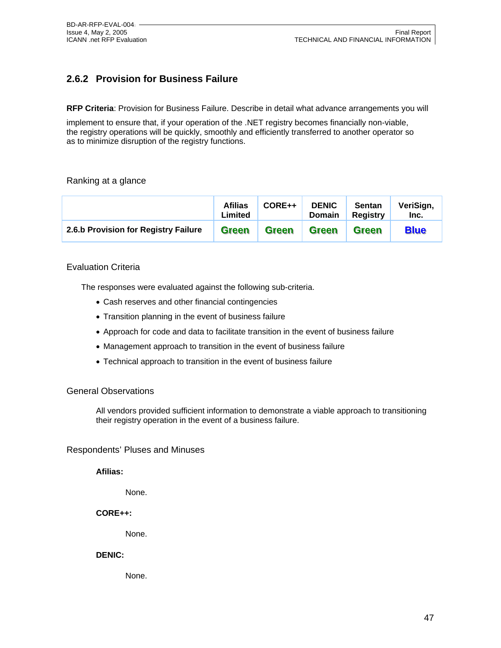# **2.6.2 Provision for Business Failure**

**RFP Criteria**: Provision for Business Failure. Describe in detail what advance arrangements you will

implement to ensure that, if your operation of the .NET registry becomes financially non-viable, the registry operations will be quickly, smoothly and efficiently transferred to another operator so as to minimize disruption of the registry functions.

#### Ranking at a glance

|                                      | <b>Afilias</b><br>Limited | CORE++       | <b>DENIC</b><br><b>Domain</b> | <b>Sentan</b><br>Registry | VeriSign,<br>Inc. |
|--------------------------------------|---------------------------|--------------|-------------------------------|---------------------------|-------------------|
| 2.6.b Provision for Registry Failure | <b>Green</b>              | <b>Green</b> | <b>Green</b>                  | <b>Green</b>              | <b>Blue</b>       |

#### Evaluation Criteria

The responses were evaluated against the following sub-criteria.

- Cash reserves and other financial contingencies
- Transition planning in the event of business failure
- Approach for code and data to facilitate transition in the event of business failure
- Management approach to transition in the event of business failure
- Technical approach to transition in the event of business failure

#### General Observations

All vendors provided sufficient information to demonstrate a viable approach to transitioning their registry operation in the event of a business failure.

#### Respondents' Pluses and Minuses

**Afilias:** 

None.

**CORE++:** 

None.

#### **DENIC:**

None.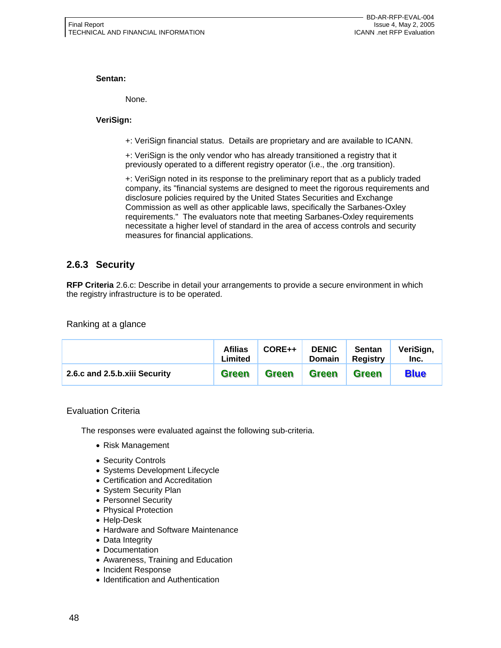#### **Sentan:**

None.

#### **VeriSign:**

+: VeriSign financial status. Details are proprietary and are available to ICANN.

+: VeriSign is the only vendor who has already transitioned a registry that it previously operated to a different registry operator (i.e., the .org transition).

+: VeriSign noted in its response to the preliminary report that as a publicly traded company, its "financial systems are designed to meet the rigorous requirements and disclosure policies required by the United States Securities and Exchange Commission as well as other applicable laws, specifically the Sarbanes-Oxley requirements." The evaluators note that meeting Sarbanes-Oxley requirements necessitate a higher level of standard in the area of access controls and security measures for financial applications.

# **2.6.3 Security**

**RFP Criteria** 2.6.c: Describe in detail your arrangements to provide a secure environment in which the registry infrastructure is to be operated.

Ranking at a glance

|                               | <b>Afilias</b><br>Limited | CORE++       | <b>DENIC</b><br>Domain | <b>Sentan</b><br><b>Registry</b> | VeriSign,<br>Inc. |
|-------------------------------|---------------------------|--------------|------------------------|----------------------------------|-------------------|
| 2.6.c and 2.5.b.xiii Security | Green                     | <b>Green</b> | <b>Green</b>           | <b>Green</b>                     | <b>Blue</b>       |

#### Evaluation Criteria

The responses were evaluated against the following sub-criteria.

- Risk Management
- Security Controls
- Systems Development Lifecycle
- Certification and Accreditation
- System Security Plan
- Personnel Security
- Physical Protection
- Help-Desk
- Hardware and Software Maintenance
- Data Integrity
- Documentation
- Awareness, Training and Education
- Incident Response
- Identification and Authentication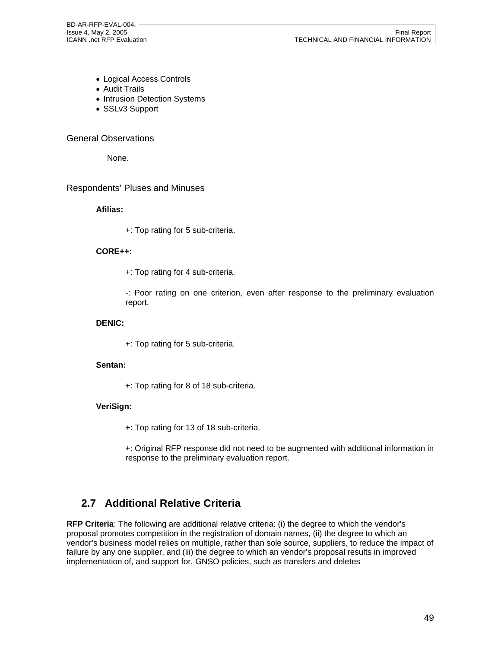BD-AR-RFP-EVAL-004

- Logical Access Controls
- Audit Trails
- Intrusion Detection Systems
- SSLv3 Support

#### General Observations

None.

#### Respondents' Pluses and Minuses

#### **Afilias:**

+: Top rating for 5 sub-criteria.

#### **CORE++:**

+: Top rating for 4 sub-criteria.

-: Poor rating on one criterion, even after response to the preliminary evaluation report.

#### **DENIC:**

+: Top rating for 5 sub-criteria.

#### **Sentan:**

+: Top rating for 8 of 18 sub-criteria.

#### **VeriSign:**

- +: Top rating for 13 of 18 sub-criteria.
- +: Original RFP response did not need to be augmented with additional information in response to the preliminary evaluation report.

# **2.7 Additional Relative Criteria**

**RFP Criteria**: The following are additional relative criteria: (i) the degree to which the vendor's proposal promotes competition in the registration of domain names, (ii) the degree to which an vendor's business model relies on multiple, rather than sole source, suppliers, to reduce the impact of failure by any one supplier, and (iii) the degree to which an vendor's proposal results in improved implementation of, and support for, GNSO policies, such as transfers and deletes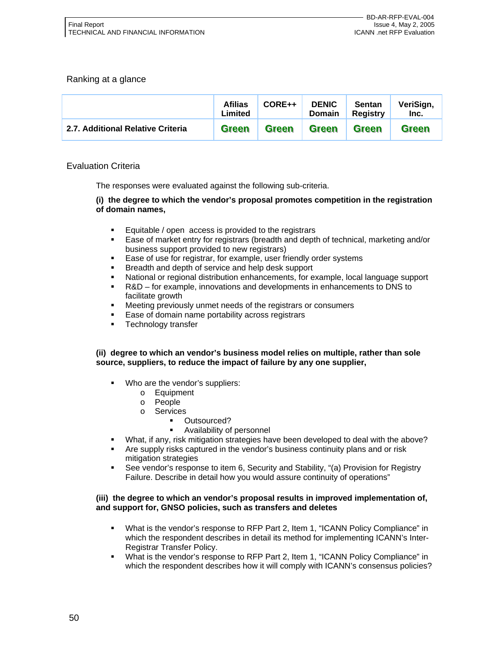#### Ranking at a glance

|                                   | <b>Afilias</b><br>Limited | CORE++       | <b>DENIC</b><br><b>Domain</b> | <b>Sentan</b><br>Registry | VeriSign,<br>Inc. |
|-----------------------------------|---------------------------|--------------|-------------------------------|---------------------------|-------------------|
| 2.7. Additional Relative Criteria | <b>Green</b>              | <b>Green</b> | <b>Green</b>                  | <b>Green</b>              | <b>Green</b>      |

#### Evaluation Criteria

The responses were evaluated against the following sub-criteria.

#### **(i) the degree to which the vendor's proposal promotes competition in the registration of domain names,**

- **Equitable / open access is provided to the registrars**
- Ease of market entry for registrars (breadth and depth of technical, marketing and/or business support provided to new registrars)
- Ease of use for registrar, for example, user friendly order systems
- Breadth and depth of service and help desk support
- National or regional distribution enhancements, for example, local language support
- R&D for example, innovations and developments in enhancements to DNS to facilitate growth
- Meeting previously unmet needs of the registrars or consumers
- Ease of domain name portability across registrars
- Technology transfer

#### **(ii) degree to which an vendor's business model relies on multiple, rather than sole source, suppliers, to reduce the impact of failure by any one supplier,**

- Who are the vendor's suppliers:
	- o Equipment
	- o People
	- o Services
		- Outsourced?
		- Availability of personnel
- What, if any, risk mitigation strategies have been developed to deal with the above?
- Are supply risks captured in the vendor's business continuity plans and or risk mitigation strategies
- See vendor's response to item 6, Security and Stability, "(a) Provision for Registry Failure. Describe in detail how you would assure continuity of operations"

#### **(iii) the degree to which an vendor's proposal results in improved implementation of, and support for, GNSO policies, such as transfers and deletes**

- What is the vendor's response to RFP Part 2, Item 1, "ICANN Policy Compliance" in which the respondent describes in detail its method for implementing ICANN's Inter-Registrar Transfer Policy.
- What is the vendor's response to RFP Part 2, Item 1, "ICANN Policy Compliance" in which the respondent describes how it will comply with ICANN's consensus policies?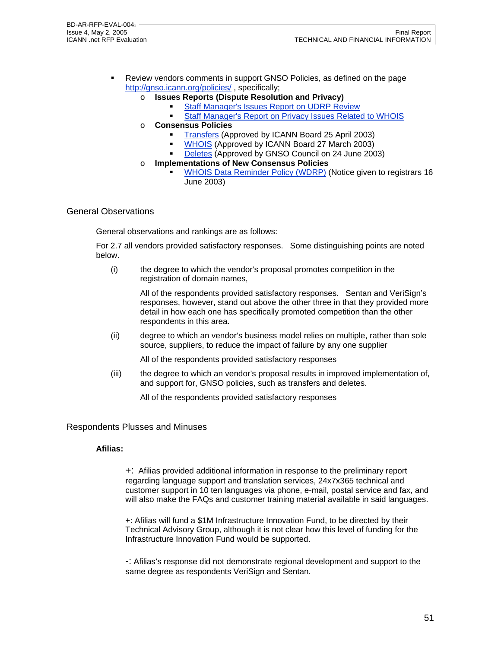- Review vendors comments in support GNSO Policies, as defined on the page http://gnso.icann.org/policies/ , specifically;
	- o **Issues Reports (Dispute Resolution and Privacy)**
		- Staff Manager's Issues Report on UDRP Review
		- **Staff Manager's Report on Privacy Issues Related to WHOIS**
	- o **Consensus Policies**
		- Transfers (Approved by ICANN Board 25 April 2003)
		- **WHOIS (Approved by ICANN Board 27 March 2003)**
		- Deletes (Approved by GNSO Council on 24 June 2003)
	- o **Implementations of New Consensus Policies**
		- WHOIS Data Reminder Policy (WDRP) (Notice given to registrars 16 June 2003)

#### General Observations

General observations and rankings are as follows:

For 2.7 all vendors provided satisfactory responses. Some distinguishing points are noted below.

(i) the degree to which the vendor's proposal promotes competition in the registration of domain names,

> All of the respondents provided satisfactory responses. Sentan and VeriSign's responses, however, stand out above the other three in that they provided more detail in how each one has specifically promoted competition than the other respondents in this area.

(ii) degree to which an vendor's business model relies on multiple, rather than sole source, suppliers, to reduce the impact of failure by any one supplier

All of the respondents provided satisfactory responses

(iii) the degree to which an vendor's proposal results in improved implementation of, and support for, GNSO policies, such as transfers and deletes.

All of the respondents provided satisfactory responses

#### Respondents Plusses and Minuses

#### **Afilias:**

+: Afilias provided additional information in response to the preliminary report regarding language support and translation services, 24x7x365 technical and customer support in 10 ten languages via phone, e-mail, postal service and fax, and will also make the FAQs and customer training material available in said languages.

+: Afilias will fund a \$1M Infrastructure Innovation Fund, to be directed by their Technical Advisory Group, although it is not clear how this level of funding for the Infrastructure Innovation Fund would be supported.

-: Afilias's response did not demonstrate regional development and support to the same degree as respondents VeriSign and Sentan.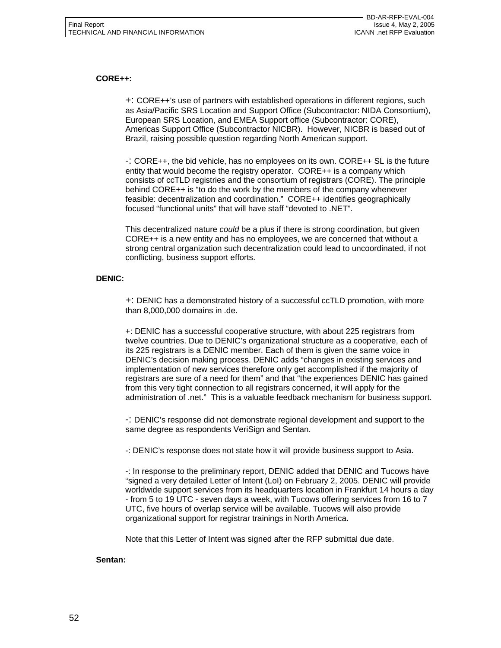#### **CORE++:**

+: CORE++'s use of partners with established operations in different regions, such as Asia/Pacific SRS Location and Support Office (Subcontractor: NIDA Consortium), European SRS Location, and EMEA Support office (Subcontractor: CORE), Americas Support Office (Subcontractor NICBR). However, NICBR is based out of Brazil, raising possible question regarding North American support.

-: CORE++, the bid vehicle, has no employees on its own. CORE++ SL is the future entity that would become the registry operator. CORE++ is a company which consists of ccTLD registries and the consortium of registrars (CORE). The principle behind CORE++ is "to do the work by the members of the company whenever feasible: decentralization and coordination." CORE++ identifies geographically focused "functional units" that will have staff "devoted to .NET".

This decentralized nature *could* be a plus if there is strong coordination, but given CORE++ is a new entity and has no employees, we are concerned that without a strong central organization such decentralization could lead to uncoordinated, if not conflicting, business support efforts.

#### **DENIC:**

+: DENIC has a demonstrated history of a successful ccTLD promotion, with more than 8,000,000 domains in .de.

+: DENIC has a successful cooperative structure, with about 225 registrars from twelve countries. Due to DENIC's organizational structure as a cooperative, each of its 225 registrars is a DENIC member. Each of them is given the same voice in DENIC's decision making process. DENIC adds "changes in existing services and implementation of new services therefore only get accomplished if the majority of registrars are sure of a need for them" and that "the experiences DENIC has gained from this very tight connection to all registrars concerned, it will apply for the administration of .net." This is a valuable feedback mechanism for business support.

-: DENIC's response did not demonstrate regional development and support to the same degree as respondents VeriSign and Sentan.

-: DENIC's response does not state how it will provide business support to Asia.

-: In response to the preliminary report, DENIC added that DENIC and Tucows have "signed a very detailed Letter of Intent (LoI) on February 2, 2005. DENIC will provide worldwide support services from its headquarters location in Frankfurt 14 hours a day - from 5 to 19 UTC - seven days a week, with Tucows offering services from 16 to 7 UTC, five hours of overlap service will be available. Tucows will also provide organizational support for registrar trainings in North America.

Note that this Letter of Intent was signed after the RFP submittal due date.

#### **Sentan:**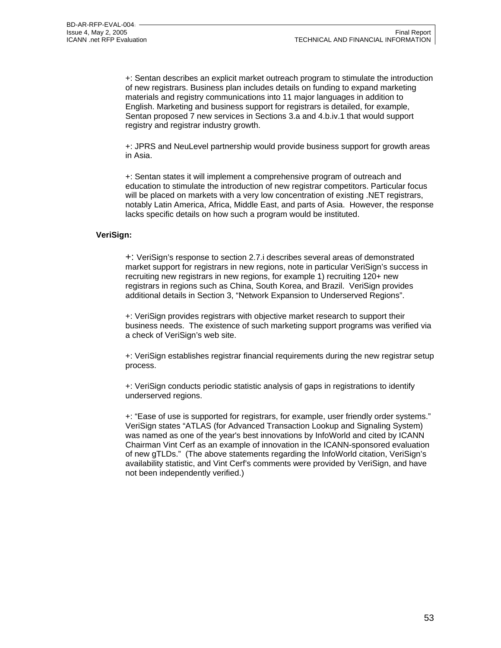+: Sentan describes an explicit market outreach program to stimulate the introduction of new registrars. Business plan includes details on funding to expand marketing materials and registry communications into 11 major languages in addition to English. Marketing and business support for registrars is detailed, for example, Sentan proposed 7 new services in Sections 3.a and 4.b.iv.1 that would support registry and registrar industry growth.

+: JPRS and NeuLevel partnership would provide business support for growth areas in Asia.

+: Sentan states it will implement a comprehensive program of outreach and education to stimulate the introduction of new registrar competitors. Particular focus will be placed on markets with a very low concentration of existing .NET registrars, notably Latin America, Africa, Middle East, and parts of Asia. However, the response lacks specific details on how such a program would be instituted.

#### **VeriSign:**

+: VeriSign's response to section 2.7.i describes several areas of demonstrated market support for registrars in new regions, note in particular VeriSign's success in recruiting new registrars in new regions, for example 1) recruiting 120+ new registrars in regions such as China, South Korea, and Brazil. VeriSign provides additional details in Section 3, "Network Expansion to Underserved Regions".

+: VeriSign provides registrars with objective market research to support their business needs. The existence of such marketing support programs was verified via a check of VeriSign's web site.

+: VeriSign establishes registrar financial requirements during the new registrar setup process.

+: VeriSign conducts periodic statistic analysis of gaps in registrations to identify underserved regions.

+: "Ease of use is supported for registrars, for example, user friendly order systems." VeriSign states "ATLAS (for Advanced Transaction Lookup and Signaling System) was named as one of the year's best innovations by InfoWorld and cited by ICANN Chairman Vint Cerf as an example of innovation in the ICANN-sponsored evaluation of new gTLDs." (The above statements regarding the InfoWorld citation, VeriSign's availability statistic, and Vint Cerf's comments were provided by VeriSign, and have not been independently verified.)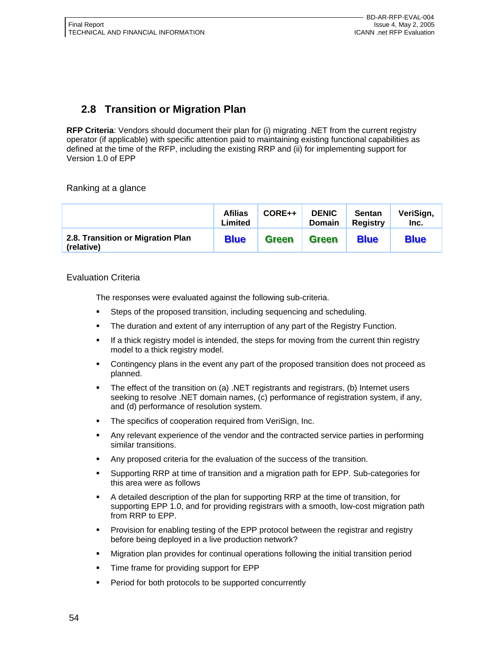# **2.8 Transition or Migration Plan**

**RFP Criteria**: Vendors should document their plan for (i) migrating .NET from the current registry operator (if applicable) with specific attention paid to maintaining existing functional capabilities as defined at the time of the RFP, including the existing RRP and (ii) for implementing support for Version 1.0 of EPP

Ranking at a glance

|                                                 | <b>Afilias</b><br>Limited | CORE++       | <b>DENIC</b><br><b>Domain</b> | <b>Sentan</b><br><b>Registry</b> | VeriSign,<br>Inc. |
|-------------------------------------------------|---------------------------|--------------|-------------------------------|----------------------------------|-------------------|
| 2.8. Transition or Migration Plan<br>(relative) | <b>Blue</b>               | <b>Green</b> | <b>Green</b>                  | <b>Blue</b>                      | <b>Blue</b>       |

#### Evaluation Criteria

The responses were evaluated against the following sub-criteria.

- Steps of the proposed transition, including sequencing and scheduling.
- The duration and extent of any interruption of any part of the Registry Function.
- If a thick registry model is intended, the steps for moving from the current thin registry model to a thick registry model.
- Contingency plans in the event any part of the proposed transition does not proceed as planned.
- The effect of the transition on (a) .NET registrants and registrars, (b) Internet users seeking to resolve .NET domain names, (c) performance of registration system, if any, and (d) performance of resolution system.
- The specifics of cooperation required from VeriSign, Inc.
- Any relevant experience of the vendor and the contracted service parties in performing similar transitions.
- Any proposed criteria for the evaluation of the success of the transition.
- Supporting RRP at time of transition and a migration path for EPP. Sub-categories for this area were as follows
- A detailed description of the plan for supporting RRP at the time of transition, for supporting EPP 1.0, and for providing registrars with a smooth, low-cost migration path from RRP to EPP.
- Provision for enabling testing of the EPP protocol between the registrar and registry before being deployed in a live production network?
- Migration plan provides for continual operations following the initial transition period
- Time frame for providing support for EPP
- **Period for both protocols to be supported concurrently**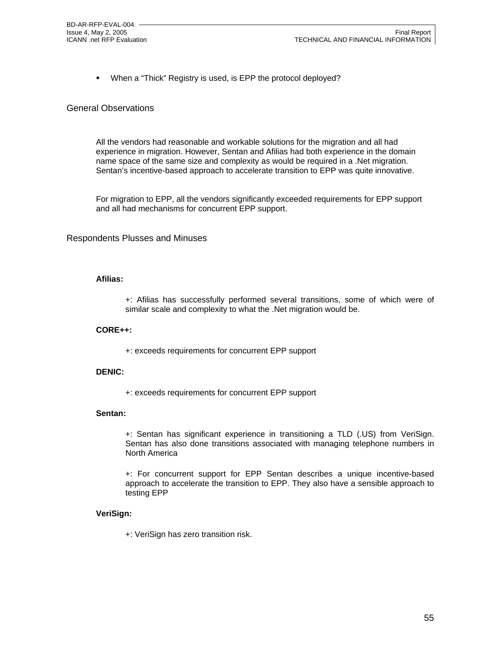**When a "Thick" Registry is used, is EPP the protocol deployed?** 

#### General Observations

All the vendors had reasonable and workable solutions for the migration and all had experience in migration. However, Sentan and Afilias had both experience in the domain name space of the same size and complexity as would be required in a .Net migration. Sentan's incentive-based approach to accelerate transition to EPP was quite innovative.

For migration to EPP, all the vendors significantly exceeded requirements for EPP support and all had mechanisms for concurrent EPP support.

#### Respondents Plusses and Minuses

#### **Afilias:**

+: Afilias has successfully performed several transitions, some of which were of similar scale and complexity to what the .Net migration would be.

#### **CORE++:**

+: exceeds requirements for concurrent EPP support

#### **DENIC:**

+: exceeds requirements for concurrent EPP support

#### **Sentan:**

+: Sentan has significant experience in transitioning a TLD (.US) from VeriSign. Sentan has also done transitions associated with managing telephone numbers in North America

+: For concurrent support for EPP Sentan describes a unique incentive-based approach to accelerate the transition to EPP. They also have a sensible approach to testing EPP

#### **VeriSign:**

+: VeriSign has zero transition risk.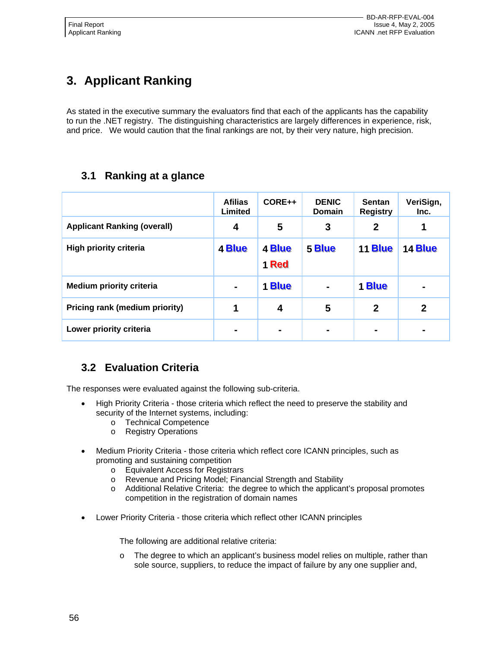# **3. Applicant Ranking**

As stated in the executive summary the evaluators find that each of the applicants has the capability to run the .NET registry. The distinguishing characteristics are largely differences in experience, risk, and price. We would caution that the final rankings are not, by their very nature, high precision.

# **3.1 Ranking at a glance**

|                                    | <b>Afilias</b><br>Limited | CORE++          | <b>DENIC</b><br><b>Domain</b> | <b>Sentan</b><br><b>Registry</b> | VeriSign,<br>Inc. |
|------------------------------------|---------------------------|-----------------|-------------------------------|----------------------------------|-------------------|
| <b>Applicant Ranking (overall)</b> | 4                         | 5               | 3                             | $\mathbf{2}$                     | 1                 |
| High priority criteria             | 4 Blue                    | 4 Blue<br>1 Red | 5 Blue                        | <b>11 Blue</b>                   | 14 Blue           |
| <b>Medium priority criteria</b>    | $\blacksquare$            | 1 Blue          | $\blacksquare$                | 1 Blue                           | $\blacksquare$    |
| Pricing rank (medium priority)     | 1                         | 4               | 5                             | $\mathbf 2$                      | $\mathbf{2}$      |
| Lower priority criteria            | $\blacksquare$            |                 |                               | ۰                                |                   |

# **3.2 Evaluation Criteria**

The responses were evaluated against the following sub-criteria.

- High Priority Criteria those criteria which reflect the need to preserve the stability and security of the Internet systems, including:
	- o Technical Competence
	- o Registry Operations
- Medium Priority Criteria those criteria which reflect core ICANN principles, such as promoting and sustaining competition
	- o Equivalent Access for Registrars
	- o Revenue and Pricing Model; Financial Strength and Stability
	- o Additional Relative Criteria: the degree to which the applicant's proposal promotes competition in the registration of domain names
- Lower Priority Criteria those criteria which reflect other ICANN principles

The following are additional relative criteria:

o The degree to which an applicant's business model relies on multiple, rather than sole source, suppliers, to reduce the impact of failure by any one supplier and,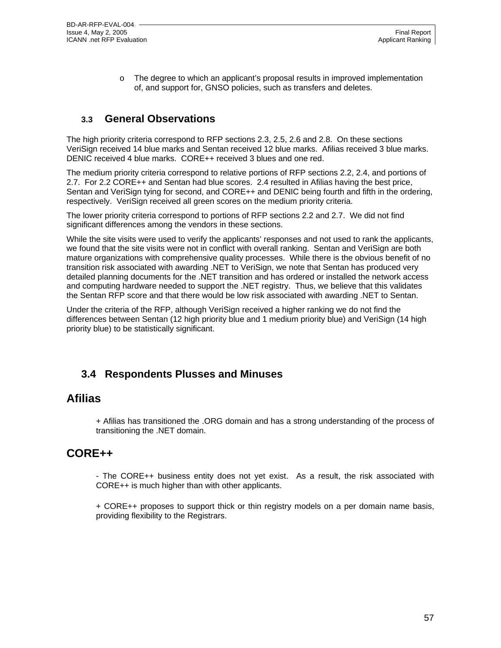o The degree to which an applicant's proposal results in improved implementation of, and support for, GNSO policies, such as transfers and deletes.

# **3.3 General Observations**

The high priority criteria correspond to RFP sections 2.3, 2.5, 2.6 and 2.8. On these sections VeriSign received 14 blue marks and Sentan received 12 blue marks. Afilias received 3 blue marks. DENIC received 4 blue marks. CORE++ received 3 blues and one red.

The medium priority criteria correspond to relative portions of RFP sections 2.2, 2.4, and portions of 2.7. For 2.2 CORE++ and Sentan had blue scores. 2.4 resulted in Afilias having the best price, Sentan and VeriSign tying for second, and CORE++ and DENIC being fourth and fifth in the ordering, respectively. VeriSign received all green scores on the medium priority criteria.

The lower priority criteria correspond to portions of RFP sections 2.2 and 2.7. We did not find significant differences among the vendors in these sections.

While the site visits were used to verify the applicants' responses and not used to rank the applicants, we found that the site visits were not in conflict with overall ranking. Sentan and VeriSign are both mature organizations with comprehensive quality processes. While there is the obvious benefit of no transition risk associated with awarding .NET to VeriSign, we note that Sentan has produced very detailed planning documents for the .NET transition and has ordered or installed the network access and computing hardware needed to support the .NET registry. Thus, we believe that this validates the Sentan RFP score and that there would be low risk associated with awarding .NET to Sentan.

Under the criteria of the RFP, although VeriSign received a higher ranking we do not find the differences between Sentan (12 high priority blue and 1 medium priority blue) and VeriSign (14 high priority blue) to be statistically significant.

# **3.4 Respondents Plusses and Minuses**

## **Afilias**

+ Afilias has transitioned the .ORG domain and has a strong understanding of the process of transitioning the .NET domain.

# **CORE++**

- The CORE++ business entity does not yet exist. As a result, the risk associated with CORE++ is much higher than with other applicants.

+ CORE++ proposes to support thick or thin registry models on a per domain name basis, providing flexibility to the Registrars.